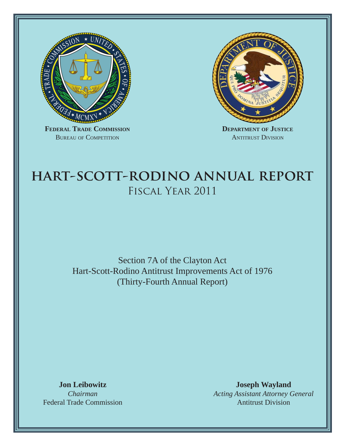

BUREAU OF COMPETITION



**DEPARTMENT OF JUSTICE** ANTITRUST DIVISION

# **hart-scott-rodino annual report** Fiscal Year 2011

Section 7A of the Clayton Act Hart-Scott-Rodino Antitrust Improvements Act of 1976 (Thirty-Fourth Annual Report)

**Jon Leibowitz** *Chairman* Federal Trade Commission

**Joseph Wayland** *Acting Assistant Attorney General* Antitrust Division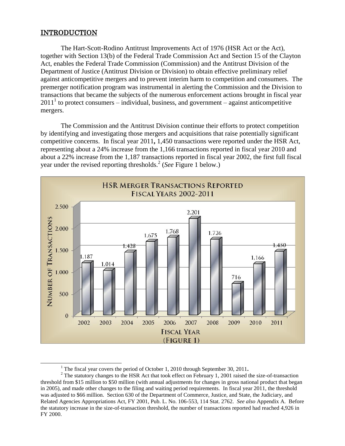#### **INTRODUCTION**

 $\overline{\phantom{a}}$ 

The Hart-Scott-Rodino Antitrust Improvements Act of 1976 (HSR Act or the Act), together with Section 13(b) of the Federal Trade Commission Act and Section 15 of the Clayton Act, enables the Federal Trade Commission (Commission) and the Antitrust Division of the Department of Justice (Antitrust Division or Division) to obtain effective preliminary relief against anticompetitive mergers and to prevent interim harm to competition and consumers. The premerger notification program was instrumental in alerting the Commission and the Division to transactions that became the subjects of the numerous enforcement actions brought in fiscal year  $2011<sup>1</sup>$  to protect consumers – individual, business, and government – against anticompetitive mergers.

The Commission and the Antitrust Division continue their efforts to protect competition by identifying and investigating those mergers and acquisitions that raise potentially significant competitive concerns.In fiscal year 2011**,** 1,450 transactions were reported under the HSR Act, representing about a 24% increase from the 1,166 transactions reported in fiscal year 2010 and about a 22% increase from the 1,187 transactions reported in fiscal year 2002, the first full fiscal year under the revised reporting thresholds.<sup>2</sup> (*See* Figure 1 below.)



<sup>&</sup>lt;sup>1</sup> The fiscal year covers the period of October 1, 2010 through September 30, 2011.

<sup>&</sup>lt;sup>2</sup> The statutory changes to the HSR Act that took effect on February 1, 2001 raised the size-of-transaction threshold from \$15 million to \$50 million (with annual adjustments for changes in gross national product that began in 2005), and made other changes to the filing and waiting period requirements. In fiscal year 2011, the threshold was adjusted to \$66 million. Section 630 of the Department of Commerce, Justice, and State, the Judiciary, and Related Agencies Appropriations Act, FY 2001, Pub. L. No. 106-553, 114 Stat. 2762. *See also* Appendix A. Before the statutory increase in the size-of-transaction threshold, the number of transactions reported had reached 4,926 in FY 2000.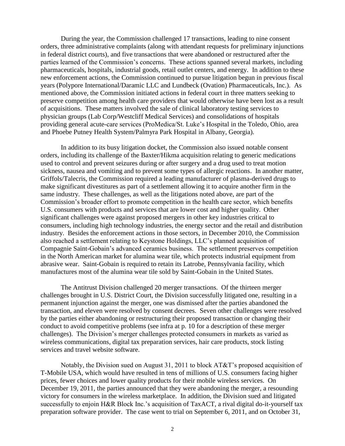During the year, the Commission challenged 17 transactions, leading to nine consent orders, three administrative complaints (along with attendant requests for preliminary injunctions in federal district courts), and five transactions that were abandoned or restructured after the parties learned of the Commission's concerns. These actions spanned several markets, including pharmaceuticals, hospitals, industrial goods, retail outlet centers, and energy. In addition to these new enforcement actions, the Commission continued to pursue litigation begun in previous fiscal years (Polypore International/Daramic LLC and Lundbeck (Ovation) Pharmaceuticals, Inc.). As mentioned above, the Commission initiated actions in federal court in three matters seeking to preserve competition among health care providers that would otherwise have been lost as a result of acquisitions. These matters involved the sale of clinical laboratory testing services to physician groups (Lab Corp/Westcliff Medical Services) and consolidations of hospitals providing general acute-care services (ProMedica/St. Luke's Hospital in the Toledo, Ohio, area and Phoebe Putney Health System/Palmyra Park Hospital in Albany, Georgia).

In addition to its busy litigation docket, the Commission also issued notable consent orders, including its challenge of the Baxter/Hikma acquisition relating to generic medications used to control and prevent seizures during or after surgery and a drug used to treat motion sickness, nausea and vomiting and to prevent some types of allergic reactions. In another matter, Griffols/Talecris, the Commission required a leading manufacturer of plasma-derived drugs to make significant divestitures as part of a settlement allowing it to acquire another firm in the same industry. These challenges, as well as the litigations noted above, are part of the Commission's broader effort to promote competition in the health care sector, which benefits U.S. consumers with products and services that are lower cost and higher quality. Other significant challenges were against proposed mergers in other key industries critical to consumers, including high technology industries, the energy sector and the retail and distribution industry. Besides the enforcement actions in those sectors, in December 2010, the Commission also reached a settlement relating to Keystone Holdings, LLC's planned acquisition of Compagnie Saint-Gobain's advanced ceramics business. The settlement preserves competition in the North American market for alumina wear tile, which protects industrial equipment from abrasive wear. Saint-Gobain is required to retain its Latrobe, Pennsylvania facility, which manufactures most of the alumina wear tile sold by Saint-Gobain in the United States.

The Antitrust Division challenged 20 merger transactions. Of the thirteen merger challenges brought in U.S. District Court, the Division successfully litigated one, resulting in a permanent injunction against the merger, one was dismissed after the parties abandoned the transaction, and eleven were resolved by consent decrees. Seven other challenges were resolved by the parties either abandoning or restructuring their proposed transaction or changing their conduct to avoid competitive problems (see infra at p. 10 for a description of these merger challenges). The Division's merger challenges protected consumers in markets as varied as wireless communications, digital tax preparation services, hair care products, stock listing services and travel website software.

Notably, the Division sued on August 31, 2011 to block AT&T's proposed acquisition of T-Mobile USA, which would have resulted in tens of millions of U.S. consumers facing higher prices, fewer choices and lower quality products for their mobile wireless services. On December 19, 2011, the parties announced that they were abandoning the merger, a resounding victory for consumers in the wireless marketplace. In addition, the Division sued and litigated successfully to enjoin H&R Block Inc.'s acquisition of TaxACT, a rival digital do-it-yourself tax preparation software provider. The case went to trial on September 6, 2011, and on October 31,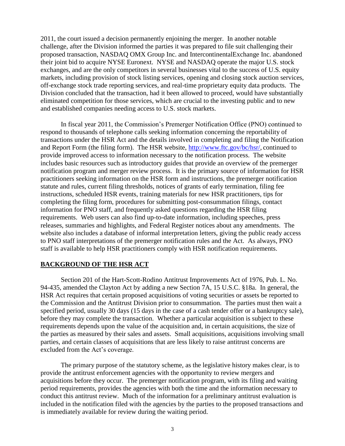2011, the court issued a decision permanently enjoining the merger. In another notable challenge, after the Division informed the parties it was prepared to file suit challenging their proposed transaction, NASDAQ OMX Group Inc. and IntercontinentalExchange Inc. abandoned their joint bid to acquire NYSE Euronext. NYSE and NASDAQ operate the major U.S. stock exchanges, and are the only competitors in several businesses vital to the success of U.S. equity markets, including provision of stock listing services, opening and closing stock auction services, off-exchange stock trade reporting services, and real-time proprietary equity data products. The Division concluded that the transaction, had it been allowed to proceed, would have substantially eliminated competition for those services, which are crucial to the investing public and to new and established companies needing access to U.S. stock markets.

In fiscal year 2011, the Commission's Premerger Notification Office (PNO) continued to respond to thousands of telephone calls seeking information concerning the reportability of transactions under the HSR Act and the details involved in completing and filing the Notification and Report Form (the filing form). The HSR website, [http://www.ftc.gov/bc/hsr/,](http://www.ftc.gov/bc/hsr/) continued to provide improved access to information necessary to the notification process. The website includes basic resources such as introductory guides that provide an overview of the premerger notification program and merger review process. It is the primary source of information for HSR practitioners seeking information on the HSR form and instructions, the premerger notification statute and rules, current filing thresholds, notices of grants of early termination, filing fee instructions, scheduled HSR events, training materials for new HSR practitioners, tips for completing the filing form, procedures for submitting post-consummation filings, contact information for PNO staff, and frequently asked questions regarding the HSR filing requirements. Web users can also find up-to-date information, including speeches, press releases, summaries and highlights, and Federal Register notices about any amendments. The website also includes a database of informal interpretation letters, giving the public ready access to PNO staff interpretations of the premerger notification rules and the Act. As always, PNO staff is available to help HSR practitioners comply with HSR notification requirements.

#### **BACKGROUND OF THE HSR ACT**

Section 201 of the Hart-Scott-Rodino Antitrust Improvements Act of 1976, Pub. L. No. 94-435, amended the Clayton Act by adding a new Section 7A, 15 U.S.C. §18a. In general, the HSR Act requires that certain proposed acquisitions of voting securities or assets be reported to the Commission and the Antitrust Division prior to consummation. The parties must then wait a specified period, usually 30 days (15 days in the case of a cash tender offer or a bankruptcy sale), before they may complete the transaction. Whether a particular acquisition is subject to these requirements depends upon the value of the acquisition and, in certain acquisitions, the size of the parties as measured by their sales and assets. Small acquisitions, acquisitions involving small parties, and certain classes of acquisitions that are less likely to raise antitrust concerns are excluded from the Act's coverage.

The primary purpose of the statutory scheme, as the legislative history makes clear, is to provide the antitrust enforcement agencies with the opportunity to review mergers and acquisitions before they occur. The premerger notification program, with its filing and waiting period requirements, provides the agencies with both the time and the information necessary to conduct this antitrust review. Much of the information for a preliminary antitrust evaluation is included in the notification filed with the agencies by the parties to the proposed transactions and is immediately available for review during the waiting period.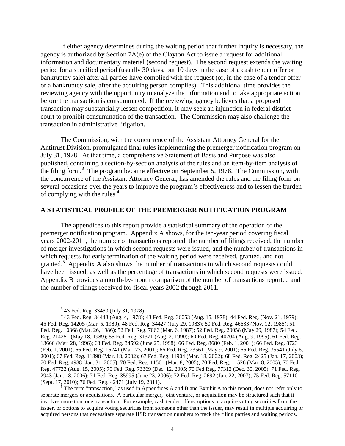If either agency determines during the waiting period that further inquiry is necessary, the agency is authorized by Section 7A(e) of the Clayton Act to issue a request for additional information and documentary material (second request). The second request extends the waiting period for a specified period (usually 30 days, but 10 days in the case of a cash tender offer or bankruptcy sale) after all parties have complied with the request (or, in the case of a tender offer or a bankruptcy sale, after the acquiring person complies). This additional time provides the reviewing agency with the opportunity to analyze the information and to take appropriate action before the transaction is consummated. If the reviewing agency believes that a proposed transaction may substantially lessen competition, it may seek an injunction in federal district court to prohibit consummation of the transaction. The Commission may also challenge the transaction in administrative litigation.

The Commission, with the concurrence of the Assistant Attorney General for the Antitrust Division, promulgated final rules implementing the premerger notification program on July 31, 1978. At that time, a comprehensive Statement of Basis and Purpose was also published, containing a section-by-section analysis of the rules and an item-by-item analysis of the filing form.<sup>3</sup> The program became effective on September 5, 1978. The Commission, with the concurrence of the Assistant Attorney General, has amended the rules and the filing form on several occasions over the years to improve the program's effectiveness and to lessen the burden of complying with the rules.<sup>4</sup>

#### **A STATISTICAL PROFILE OF THE PREMERGER NOTIFICATION PROGRAM**

The appendices to this report provide a statistical summary of the operation of the premerger notification program. Appendix A shows, for the ten-year period covering fiscal years 2002-2011, the number of transactions reported, the number of filings received, the number of merger investigations in which second requests were issued, and the number of transactions in which requests for early termination of the waiting period were received, granted, and not granted.<sup>5</sup> Appendix A also shows the number of transactions in which second requests could have been issued, as well as the percentage of transactions in which second requests were issued. Appendix B provides a month-by-month comparison of the number of transactions reported and the number of filings received for fiscal years 2002 through 2011.

l

<sup>5</sup> The term "transaction," as used in Appendices A and B and Exhibit A to this report, does not refer only to separate mergers or acquisitions. A particular merger, joint venture, or acquisition may be structured such that it involves more than one transaction. For example, cash tender offers, options to acquire voting securities from the issuer, or options to acquire voting securities from someone other than the issuer, may result in multiple acquiring or acquired persons that necessitate separate HSR transaction numbers to track the filing parties and waiting periods.

 $3$  43 Fed. Reg. 33450 (July 31, 1978).

<sup>4</sup> 43 Fed. Reg. 34443 (Aug. 4, 1978); 43 Fed. Reg. 36053 (Aug. 15, 1978); 44 Fed. Reg. (Nov. 21, 1979); 45 Fed. Reg. 14205 (Mar. 5, 1980); 48 Fed. Reg. 34427 (July 29, 1983); 50 Fed. Reg. 46633 (Nov. 12, 1985); 51 Fed. Reg. 10368 (Mar. 26, 1986); 52 Fed. Reg. 7066 (Mar. 6, 1987); 52 Fed. Reg. 20058 (May 29, 1987); 54 Fed. Reg. 214251 (May 18, 1989); 55 Fed. Reg. 31371 (Aug. 2, 1990); 60 Fed. Reg. 40704 (Aug. 9, 1995); 61 Fed. Reg. 13666 (Mar. 28, 1996); 63 Fed. Reg. 34592 (June 25, 1998); 66 Fed. Reg. 8680 (Feb. 1, 2001); 66 Fed. Reg. 8723 (Feb. 1, 2001); 66 Fed. Reg. 16241 (Mar. 23, 2001); 66 Fed. Reg. 23561 (May 9, 2001); 66 Fed. Reg. 35541 (July 6, 2001); 67 Fed. Reg. 11898 (Mar. 18, 2002); 67 Fed. Reg. 11904 (Mar. 18, 2002); 68 Fed. Reg. 2425 (Jan. 17, 2003); 70 Fed. Reg. 4988 (Jan. 31, 2005); 70 Fed. Reg. 11501 (Mar. 8, 2005); 70 Fed. Reg. 11526 (Mar. 8, 2005); 70 Fed. Reg. 47733 (Aug. 15, 2005); 70 Fed. Reg. 73369 (Dec. 12, 2005; 70 Fed Reg. 77312 (Dec. 30, 2005); 71 Fed. Reg. 2943 (Jan. 18, 2006); 71 Fed. Reg. 35995 (June 23, 2006); 72 Fed. Reg. 2692 (Jan. 22, 2007); 75 Fed. Reg. 57110 (Sept. 17, 2010); 76 Fed. Reg. 42471 (July 19, 2011).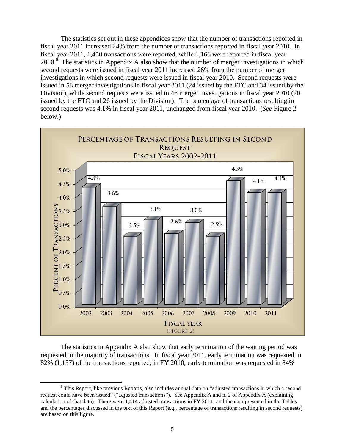The statistics set out in these appendices show that the number of transactions reported in fiscal year 2011 increased 24% from the number of transactions reported in fiscal year 2010. In fiscal year 2011, 1,450 transactions were reported, while 1,166 were reported in fiscal year  $2010<sup>6</sup>$  The statistics in Appendix A also show that the number of merger investigations in which second requests were issued in fiscal year 2011 increased 26% from the number of merger investigations in which second requests were issued in fiscal year 2010. Second requests were issued in 58 merger investigations in fiscal year 2011 (24 issued by the FTC and 34 issued by the Division), while second requests were issued in 46 merger investigations in fiscal year 2010 (20 issued by the FTC and 26 issued by the Division).The percentage of transactions resulting in second requests was 4.1% in fiscal year 2011, unchanged from fiscal year 2010.(*See* Figure 2 below.)



The statistics in Appendix A also show that early termination of the waiting period was requested in the majority of transactions. In fiscal year 2011, early termination was requested in 82% (1,157) of the transactions reported; in FY 2010, early termination was requested in 84%

 $\overline{\phantom{a}}$ 

<sup>&</sup>lt;sup>6</sup> This Report, like previous Reports, also includes annual data on "adjusted transactions in which a second request could have been issued" ("adjusted transactions"). See Appendix A and n. 2 of Appendix A (explaining calculation of that data). There were 1,414 adjusted transactions in FY 2011, and the data presented in the Tables and the percentages discussed in the text of this Report (e.g., percentage of transactions resulting in second requests) are based on this figure.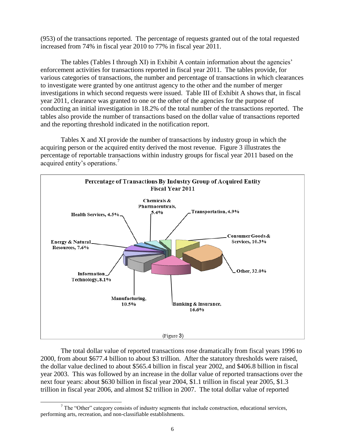(953) of the transactions reported. The percentage of requests granted out of the total requested increased from 74% in fiscal year 2010 to 77% in fiscal year 2011.

The tables (Tables I through XI) in Exhibit A contain information about the agencies' enforcement activities for transactions reported in fiscal year 2011. The tables provide, for various categories of transactions, the number and percentage of transactions in which clearances to investigate were granted by one antitrust agency to the other and the number of merger investigations in which second requests were issued. Table III of Exhibit A shows that, in fiscal year 2011, clearance was granted to one or the other of the agencies for the purpose of conducting an initial investigation in 18.2% of the total number of the transactions reported. The tables also provide the number of transactions based on the dollar value of transactions reported and the reporting threshold indicated in the notification report.

Tables X and XI provide the number of transactions by industry group in which the acquiring person or the acquired entity derived the most revenue. Figure 3 illustrates the percentage of reportable transactions within industry groups for fiscal year 2011 based on the acquired entity's operations.<sup>7</sup>



The total dollar value of reported transactions rose dramatically from fiscal years 1996 to 2000, from about \$677.4 billion to about \$3 trillion. After the statutory thresholds were raised, the dollar value declined to about \$565.4 billion in fiscal year 2002, and \$406.8 billion in fiscal year 2003. This was followed by an increase in the dollar value of reported transactions over the next four years: about \$630 billion in fiscal year 2004, \$1.1 trillion in fiscal year 2005, \$1.3 trillion in fiscal year 2006, and almost \$2 trillion in 2007. The total dollar value of reported

 $\overline{\phantom{a}}$  $7$  The "Other" category consists of industry segments that include construction, educational services, performing arts, recreation, and non-classifiable establishments.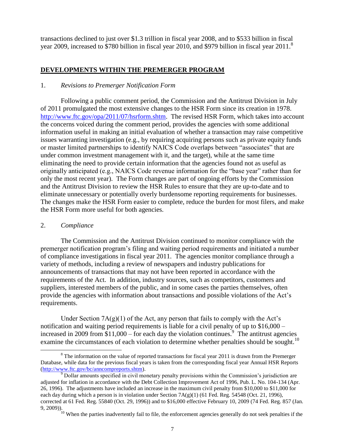transactions declined to just over \$1.3 trillion in fiscal year 2008, and to \$533 billion in fiscal year 2009, increased to \$780 billion in fiscal year 2010, and \$979 billion in fiscal year 2011.<sup>8</sup>

#### **DEVELOPMENTS WITHIN THE PREMERGER PROGRAM**

#### 1. *Revisions to Premerger Notification Form*

Following a public comment period, the Commission and the Antitrust Division in July of 2011 promulgated the most extensive changes to the HSR Form since its creation in 1978. [http://www.ftc.gov/opa/2011/07/hsrform.shtm.](http://www.ftc.gov/opa/2011/07/hsrform.shtm) The revised HSR Form, which takes into account the concerns voiced during the comment period, provides the agencies with some additional information useful in making an initial evaluation of whether a transaction may raise competitive issues warranting investigation (e.g., by requiring acquiring persons such as private equity funds or master limited partnerships to identify NAICS Code overlaps between "associates" that are under common investment management with it, and the target), while at the same time eliminating the need to provide certain information that the agencies found not as useful as originally anticipated (e.g., NAICS Code revenue information for the "base year" rather than for only the most recent year). The Form changes are part of ongoing efforts by the Commission and the Antitrust Division to review the HSR Rules to ensure that they are up-to-date and to eliminate unnecessary or potentially overly burdensome reporting requirements for businesses. The changes make the HSR Form easier to complete, reduce the burden for most filers, and make the HSR Form more useful for both agencies.

#### 2. *Compliance*

l

The Commission and the Antitrust Division continued to monitor compliance with the premerger notification program's filing and waiting period requirements and initiated a number of compliance investigations in fiscal year 2011. The agencies monitor compliance through a variety of methods, including a review of newspapers and industry publications for announcements of transactions that may not have been reported in accordance with the requirements of the Act. In addition, industry sources, such as competitors, customers and suppliers, interested members of the public, and in some cases the parties themselves, often provide the agencies with information about transactions and possible violations of the Act's requirements.

Under Section  $7A(g)(1)$  of the Act, any person that fails to comply with the Act's notification and waiting period requirements is liable for a civil penalty of up to \$16,000 – increased in 2009 from  $$11,000$  – for each day the violation continues.<sup>9</sup> The antitrust agencies examine the circumstances of each violation to determine whether penalties should be sought.<sup>10</sup>

<sup>&</sup>lt;sup>8</sup> The information on the value of reported transactions for fiscal year 2011 is drawn from the Premerger Database, while data for the previous fiscal years is taken from the corresponding fiscal year Annual HSR Reports [\(http://www.ftc.gov/bc/anncompreports.shtm\)](http://www.ftc.gov/bc/anncompreports.shtm).

 $9$  Dollar amounts specified in civil monetary penalty provisions within the Commission's jurisdiction are adjusted for inflation in accordance with the Debt Collection Improvement Act of 1996, Pub. L. No. 104-134 (Apr. 26, 1996). The adjustments have included an increase in the maximum civil penalty from \$10,000 to \$11,000 for each day during which a person is in violation under Section  $7A(g)(1)$  (61 Fed. Reg. 54548 (Oct. 21, 1996), corrected at 61 Fed. Reg. 55840 (Oct. 29, 1996)) and to \$16,000 effective February 10, 2009 (74 Fed. Reg. 857 (Jan. 9, 2009)).

<sup>&</sup>lt;sup>10</sup> When the parties inadvertently fail to file, the enforcement agencies generally do not seek penalties if the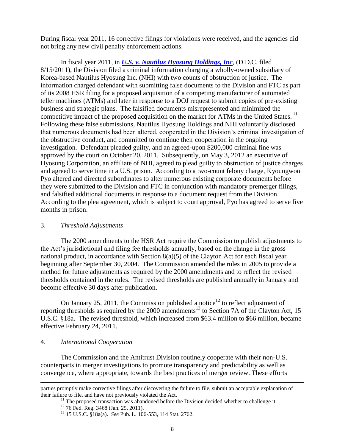During fiscal year 2011, 16 corrective filings for violations were received, and the agencies did not bring any new civil penalty enforcement actions.

In fiscal year 2011, in *[U.S. v. Nautilus Hyosung Holdings, Inc](http://www.justice.gov/atr/cases/nautilus.html)*, (D.D.C. filed 8/15/2011), the Division filed a criminal information charging a wholly-owned subsidiary of Korea-based Nautilus Hyosung Inc. (NHI) with two counts of obstruction of justice. The information charged defendant with submitting false documents to the Division and FTC as part of its 2008 HSR filing for a proposed acquisition of a competing manufacturer of automated teller machines (ATMs) and later in response to a DOJ request to submit copies of pre-existing business and strategic plans. The falsified documents misrepresented and minimized the competitive impact of the proposed acquisition on the market for ATMs in the United States.<sup>11</sup> Following these false submissions, Nautilus Hyosung Holdings and NHI voluntarily disclosed that numerous documents had been altered, cooperated in the Division's criminal investigation of the obstructive conduct, and committed to continue their cooperation in the ongoing investigation. Defendant pleaded guilty, and an agreed-upon \$200,000 criminal fine was approved by the court on October 20, 2011. Subsequently, on May 3, 2012 an executive of Hyosung Corporation, an affiliate of NHI, agreed to plead guilty to obstruction of justice charges and agreed to serve time in a U.S. prison. According to a two-count felony charge, Kyoungwon Pyo altered and directed subordinates to alter numerous existing corporate documents before they were submitted to the Division and FTC in conjunction with mandatory premerger filings, and falsified additional documents in response to a document request from the Division. According to the plea agreement, which is subject to court approval, Pyo has agreed to serve five months in prison.

#### 3. *Threshold Adjustments*

The 2000 amendments to the HSR Act require the Commission to publish adjustments to the Act's jurisdictional and filing fee thresholds annually, based on the change in the gross national product, in accordance with Section 8(a)(5) of the Clayton Act for each fiscal year beginning after September 30, 2004. The Commission amended the rules in 2005 to provide a method for future adjustments as required by the 2000 amendments and to reflect the revised thresholds contained in the rules. The revised thresholds are published annually in January and become effective 30 days after publication.

On January 25, 2011, the Commission published a notice<sup>12</sup> to reflect adjustment of reporting thresholds as required by the  $2000$  amendments<sup>13</sup> to Section 7A of the Clayton Act, 15 U.S.C. §18a.The revised threshold, which increased from \$63.4 million to \$66 million, became effective February 24, 2011.

#### 4. *International Cooperation*

 $\overline{\phantom{a}}$ 

The Commission and the Antitrust Division routinely cooperate with their non-U.S. counterparts in merger investigations to promote transparency and predictability as well as convergence, where appropriate, towards the best practices of merger review. These efforts

parties promptly make corrective filings after discovering the failure to file, submit an acceptable explanation of their failure to file, and have not previously violated the Act.

 $11$  The proposed transaction was abandoned before the Division decided whether to challenge it.

<sup>&</sup>lt;sup>12</sup> 76 Fed. Reg. 3468 (Jan. 25, 2011).

<sup>13</sup> 15 U.S.C. §18a(a). *See* Pub. L. 106-553, 114 Stat. 2762.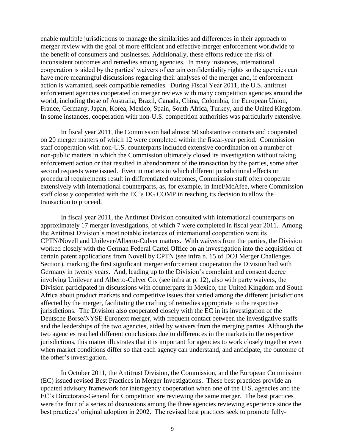enable multiple jurisdictions to manage the similarities and differences in their approach to merger review with the goal of more efficient and effective merger enforcement worldwide to the benefit of consumers and businesses. Additionally, these efforts reduce the risk of inconsistent outcomes and remedies among agencies. In many instances, international cooperation is aided by the parties' waivers of certain confidentiality rights so the agencies can have more meaningful discussions regarding their analyses of the merger and, if enforcement action is warranted, seek compatible remedies. During Fiscal Year 2011, the U.S. antitrust enforcement agencies cooperated on merger reviews with many competition agencies around the world, including those of Australia, Brazil, Canada, China, Colombia, the European Union, France, Germany, Japan, Korea, Mexico, Spain, South Africa, Turkey, and the United Kingdom. In some instances, cooperation with non-U.S. competition authorities was particularly extensive.

In fiscal year 2011, the Commission had almost 50 substantive contacts and cooperated on 20 merger matters of which 12 were completed within the fiscal-year period. Commission staff cooperation with non-U.S. counterparts included extensive coordination on a number of non-public matters in which the Commission ultimately closed its investigation without taking enforcement action or that resulted in abandonment of the transaction by the parties, some after second requests were issued. Even in matters in which different jurisdictional effects or procedural requirements result in differentiated outcomes, Commission staff often cooperate extensively with international counterparts, as, for example, in Intel/McAfee, where Commission staff closely cooperated with the EC's DG COMP in reaching its decision to allow the transaction to proceed.

In fiscal year 2011, the Antitrust Division consulted with international counterparts on approximately 17 merger investigations, of which 7 were completed in fiscal year 2011. Among the Antitrust Division's most notable instances of international cooperation were its CPTN/Novell and Unilever/Alberto-Culver matters. With waivers from the parties, the Division worked closely with the German Federal Cartel Office on an investigation into the acquisition of certain patent applications from Novell by CPTN (see infra n. 15 of DOJ Merger Challenges Section), marking the first significant merger enforcement cooperation the Division had with Germany in twenty years. And, leading up to the Division's complaint and consent decree involving Unilever and Alberto-Culver Co. (see infra at p. 12), also with party waivers, the Division participated in discussions with counterparts in Mexico, the United Kingdom and South Africa about product markets and competitive issues that varied among the different jurisdictions affected by the merger, facilitating the crafting of remedies appropriate to the respective jurisdictions. The Division also cooperated closely with the EC in its investigation of the Deutsche Borse/NYSE Euronext merger, with frequent contact between the investigative staffs and the leaderships of the two agencies, aided by waivers from the merging parties. Although the two agencies reached different conclusions due to differences in the markets in the respective jurisdictions, this matter illustrates that it is important for agencies to work closely together even when market conditions differ so that each agency can understand, and anticipate, the outcome of the other's investigation.

In October 2011, the Antitrust Division, the Commission, and the European Commission (EC) issued revised Best Practices in Merger Investigations. These best practices provide an updated advisory framework for interagency cooperation when one of the U.S. agencies and the EC's Directorate-General for Competition are reviewing the same merger. The best practices were the fruit of a series of discussions among the three agencies reviewing experience since the best practices' original adoption in 2002. The revised best practices seek to promote fully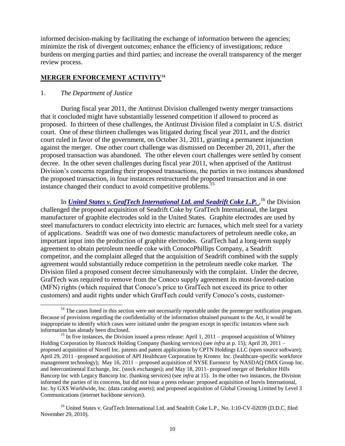informed decision-making by facilitating the exchange of information between the agencies; minimize the risk of divergent outcomes; enhance the efficiency of investigations; reduce burdens on merging parties and third parties; and increase the overall transparency of the merger review process.

#### **MERGER ENFORCEMENT ACTIVITY<sup>14</sup>**

#### 1. *The Department of Justice*

l

During fiscal year 2011, the Antitrust Division challenged twenty merger transactions that it concluded might have substantially lessened competition if allowed to proceed as proposed. In thirteen of these challenges, the Antitrust Division filed a complaint in U.S. district court. One of these thirteen challenges was litigated during fiscal year 2011, and the district court ruled in favor of the government, on October 31, 2011, granting a permanent injunction against the merger. One other court challenge was dismissed on December 20, 2011, after the proposed transaction was abandoned. The other eleven court challenges were settled by consent decree. In the other seven challenges during fiscal year 2011, when apprised of the Antitrust Division's concerns regarding their proposed transactions, the parties in two instances abandoned the proposed transaction, in four instances restructured the proposed transaction and in one instance changed their conduct to avoid competitive problems.<sup>15</sup>

In *[United States v. GrafTech International Ltd. and Seadrift Coke L.P.](http://www.justice.gov/atr/cases/graftech.html)*, <sup>16</sup> the Division challenged the proposed acquisition of Seadrift Coke by GrafTech International, the largest manufacturer of graphite electrodes sold in the United States. Graphite electrodes are used by steel manufacturers to conduct electricity into electric arc furnaces, which melt steel for a variety of applications. Seadrift was one of two domestic manufacturers of petroleum needle coke, an important input into the production of graphite electrodes. GrafTech had a long-term supply agreement to obtain petroleum needle coke with ConocoPhillips Company, a Seadrift competitor, and the complaint alleged that the acquisition of Seadrift combined with the supply agreement would substantially reduce competition in the petroleum needle coke market. The Division filed a proposed consent decree simultaneously with the complaint. Under the decree, GrafTech was required to remove from the Conoco supply agreement its most-favored-nation (MFN) rights (which required that Conoco's price to GrafTech not exceed its price to other customers) and audit rights under which GrafTech could verify Conoco's costs, customer-

<sup>16</sup> United States v. GrafTech International Ltd. and Seadrift Coke L.P., No. 1:10-CV-02039 (D.D.C. filed November 29, 2010).

<sup>&</sup>lt;sup>14</sup> The cases listed in this section were not necessarily reportable under the premerger notification program. Because of provisions regarding the confidentiality of the information obtained pursuant to the Act, it would be inappropriate to identify which cases were initiated under the program except in specific instances where such information has already been disclosed.

<sup>&</sup>lt;sup>15</sup> In five instances, the Division issued a press release: April 1, 2011 – proposed acquisition of Whitney Holding Corporation by Hancock Holding Company (banking services) (see *infra* at p. 15); April 20, 2011 – proposed acquisition of Novell Inc. patents and patent applications by CPTN Holdings LLC (open source software); April 29, 2011 –proposed acquisition of API Healthcare Corporation by Kronos Inc. (healthcare-specific workforce management technology); May 16, 2011 – proposed acquisition of NYSE Euronext by NASDAQ OMX Group Inc. and Intercontinental Exchange, Inc. (stock exchanges); and May 18, 2011- proposed merger of Berkshire Hills Bancorp Inc with Legacy Bancorp Inc. (banking services) (see *infra* at 15). In the other two instances, the Division informed the parties of its concerns, but did not issue a press release: proposed acquisition of Inovis International, Inc. by GXS Worldwide, Inc. (data catalog assets); and proposed acquisition of Global Crossing Limited by Level 3 Communications (internet backbone services).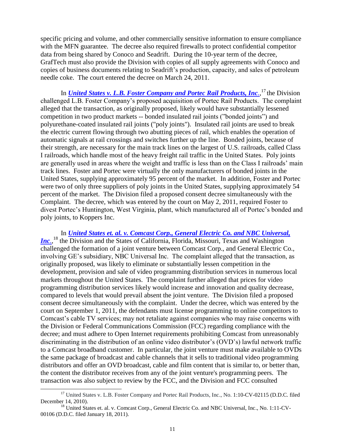specific pricing and volume, and other commercially sensitive information to ensure compliance with the MFN guarantee. The decree also required firewalls to protect confidential competitor data from being shared by Conoco and Seadrift. During the 10-year term of the decree, GrafTech must also provide the Division with copies of all supply agreements with Conoco and copies of business documents relating to Seadrift's production, capacity, and sales of petroleum needle coke. The court entered the decree on March 24, 2011.

In *[United States v. L.B. Foster Company and Portec Rail Products, Inc](http://www.justice.gov/atr/cases/fosterportec.html).*,<sup>17</sup> the Division challenged L.B. Foster Company's proposed acquisition of Portec Rail Products. The complaint alleged that the transaction, as originally proposed, likely would have substantially lessened competition in two product markets -- bonded insulated rail joints ("bonded joints") and polyurethane-coated insulated rail joints ("poly joints"). Insulated rail joints are used to break the electric current flowing through two abutting pieces of rail, which enables the operation of automatic signals at rail crossings and switches further up the line. Bonded joints, because of their strength, are necessary for the main track lines on the largest of U.S. railroads, called Class I railroads, which handle most of the heavy freight rail traffic in the United States. Poly joints are generally used in areas where the weight and traffic is less than on the Class I railroads' main track lines. Foster and Portec were virtually the only manufacturers of bonded joints in the United States, supplying approximately 95 percent of the market. In addition, Foster and Portec were two of only three suppliers of poly joints in the United States, supplying approximately 54 percent of the market. The Division filed a proposed consent decree simultaneously with the Complaint. The decree, which was entered by the court on May 2, 2011, required Foster to divest Portec's Huntington, West Virginia, plant, which manufactured all of Portec's bonded and poly joints, to Koppers Inc.

In *United States et. al. v. [Comcast Corp., General Electric Co. and NBC Universal,](http://www.justice.gov/atr/cases/comcast.html)  [Inc](http://www.justice.gov/atr/cases/comcast.html)*<sub>1</sub>,<sup>18</sup> the Division and the States of California, Florida, Missouri, Texas and Washington challenged the formation of a joint venture between Comcast Corp., and General Electric Co., involving GE's subsidiary, NBC Universal Inc. The complaint alleged that the transaction, as originally proposed, was likely to eliminate or substantially lessen competition in the development, provision and sale of video programming distribution services in numerous local markets throughout the United States. The complaint further alleged that prices for video programming distribution services likely would increase and innovation and quality decrease, compared to levels that would prevail absent the joint venture. The Division filed a proposed consent decree simultaneously with the complaint. Under the decree, which was entered by the court on September 1, 2011, the defendants must license programming to online competitors to Comcast's cable TV services; may not retaliate against companies who may raise concerns with the Division or Federal Communications Commission (FCC) regarding compliance with the decree; and must adhere to Open Internet requirements prohibiting Comcast from unreasonably discriminating in the distribution of an online video distributor's (OVD's) lawful network traffic to a Comcast broadband customer. In particular, the joint venture must make available to OVDs the same package of broadcast and cable channels that it sells to traditional video programming distributors and offer an OVD broadcast, cable and film content that is similar to, or better than, the content the distributor receives from any of the joint venture's programming peers. The transaction was also subject to review by the FCC, and the Division and FCC consulted

l

<sup>&</sup>lt;sup>17</sup> United States v. L.B. Foster Company and Portec Rail Products, Inc., No. 1:10-CV-02115 (D.D.C. filed December 14, 2010).

<sup>&</sup>lt;sup>18</sup> United States et. al. v. Comcast Corp., General Electric Co. and NBC Universal, Inc., No. 1:11-CV-00106 (D.D.C. filed January 18, 2011).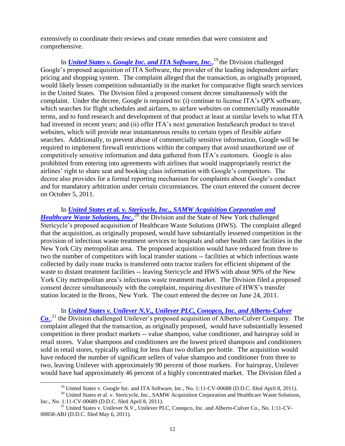extensively to coordinate their reviews and create remedies that were consistent and comprehensive.

In *[United States v. Google Inc. and ITA Software, Inc.](http://www.justice.gov/atr/cases/google.html)*,<sup>19</sup> the Division challenged Google's proposed acquisition of ITA Software, the provider of the leading independent airfare pricing and shopping system. The complaint alleged that the transaction, as originally proposed, would likely lessen competition substantially in the market for comparative flight search services in the United States. The Division filed a proposed consent decree simultaneously with the complaint. Under the decree, Google is required to: (i) continue to license ITA's QPX software, which searches for flight schedules and airfares, to airfare websites on commercially reasonable terms, and to fund research and development of that product at least at similar levels to what ITA had invested in recent years; and (ii) offer ITA's next generation InstaSearch product to travel websites, which will provide near instantaneous results to certain types of flexible airfare searches. Additionally, to prevent abuse of commercially sensitive information, Google will be required to implement firewall restrictions within the company that avoid unauthorized use of competitively sensitive information and data gathered from ITA's customers. Google is also prohibited from entering into agreements with airlines that would inappropriately restrict the airlines' right to share seat and booking class information with Google's competitors. The decree also provides for a formal reporting mechanism for complaints about Google's conduct and for mandatory arbitration under certain circumstances. The court entered the consent decree on October 5, 2011.

In *United States [et al. v. Stericycle, Inc., SAMW Acquisition Corporation and](http://www.justice.gov/atr/cases/stericycle2.html)  [Healthcare Waste Solutions, Inc.](http://www.justice.gov/atr/cases/stericycle2.html)*,<sup>20</sup> the Division and the State of New York challenged Stericycle's proposed acquisition of Healthcare Waste Solutions (HWS). The complaint alleged that the acquisition, as originally proposed, would have substantially lessened competition in the provision of infectious waste treatment services to hospitals and other health care facilities in the New York City metropolitan area. The proposed acquisition would have reduced from three to two the number of competitors with local transfer stations -- facilities at which infectious waste collected by daily route trucks is transferred onto tractor trailers for efficient shipment of the waste to distant treatment facilities -- leaving Stericycle and HWS with about 90% of the New York City metropolitan area's infectious waste treatment market. The Division filed a proposed consent decree simultaneously with the complaint, requiring divestiture of HWS's transfer station located in the Bronx, New York. The court entered the decree on June 24, 2011.

In *United States [v. Unilever N.V., Unilever PLC, Conopco, Inc. and Alberto-Culver](http://www.justice.gov/atr/cases/unilever.html)*  [Co](http://www.justice.gov/atr/cases/unilever.html)<sub>*.*</sub><sup>21</sup> the Division challenged Unilever's proposed acquisition of Alberto-Culver Company. The complaint alleged that the transaction, as originally proposed, would have substantially lessened competition in three product markets -- value shampoo, value conditioner, and hairspray sold in retail stores. Value shampoos and conditioners are the lowest priced shampoos and conditioners sold in retail stores, typically selling for less than two dollars per bottle. The acquisition would have reduced the number of significant sellers of value shampoo and conditioner from three to two, leaving Unilever with approximately 90 percent of those markets. For hairspray, Unilever would have had approximately 46 percent of a highly concentrated market. The Division filed a

 $\overline{\phantom{a}}$ 

<sup>&</sup>lt;sup>19</sup> United States v. Google Inc. and ITA Software, Inc., No. 1:11-CV-00688 (D.D.C. filed April 8, 2011).

 $^{20}$  United States et al. v. Stericycle, Inc., SAMW Acquisition Corporation and Healthcare Waste Solutions, Inc., No. 1:11-CV-00689 (D.D.C. filed April 8, 2011).

<sup>&</sup>lt;sup>21</sup> United States v. Unilever N.V., Unilever PLC, Conopco, Inc. and Alberto-Culver Co., No. 1:11-CV-00858-ABJ (D.D.C. filed May 6, 2011).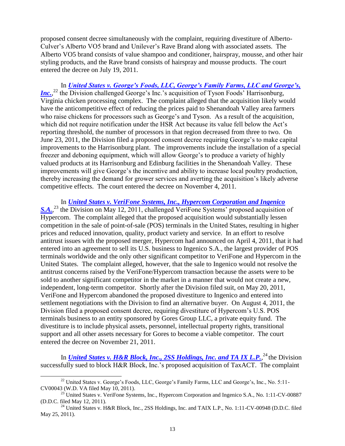proposed consent decree simultaneously with the complaint, requiring divestiture of Alberto-Culver's Alberto VO5 brand and Unilever's Rave Brand along with associated assets. The Alberto VO5 brand consists of value shampoo and conditioner, hairspray, mousse, and other hair styling products, and the Rave brand consists of hairspray and mousse products. The court entered the decree on July 19, 2011.

In *[United States v. George's Foods, LLC, George's Family Farms, LLC and George's,](http://www.justice.gov/atr/cases/georgefood.html)  [Inc.](http://www.justice.gov/atr/cases/georgefood.html)*<sup>22</sup> the Division challenged George's Inc.'s acquisition of Tyson Foods' Harrisonburg, Virginia chicken processing complex. The complaint alleged that the acquisition likely would have the anticompetitive effect of reducing the prices paid to Shenandoah Valley area farmers who raise chickens for processors such as George's and Tyson. As a result of the acquisition, which did not require notification under the HSR Act because its value fell below the Act's reporting threshold, the number of processors in that region decreased from three to two. On June 23, 2011, the Division filed a proposed consent decree requiring George's to make capital improvements to the Harrisonburg plant. The improvements include the installation of a special freezer and deboning equipment, which will allow George's to produce a variety of highly valued products at its Harrisonburg and Edinburg facilities in the Shenandoah Valley. These improvements will give George's the incentive and ability to increase local poultry production, thereby increasing the demand for grower services and averting the acquisition's likely adverse competitive effects. The court entered the decree on November 4, 2011.

In *[United States v. VeriFone Systems, Inc., Hypercom Corporation and Ingenico](http://www.justice.gov/atr/cases/verifone.html)*  [S.A.](http://www.justice.gov/atr/cases/verifone.html),<sup>23</sup> the Division on May 12, 2011, challenged VeriFone Systems' proposed acquisition of Hypercom. The complaint alleged that the proposed acquisition would substantially lessen competition in the sale of point-of-sale (POS) terminals in the United States, resulting in higher prices and reduced innovation, quality, product variety and service. In an effort to resolve antitrust issues with the proposed merger, Hypercom had announced on April 4, 2011, that it had entered into an agreement to sell its U.S. business to Ingenico S.A., the largest provider of POS terminals worldwide and the only other significant competitor to VeriFone and Hypercom in the United States. The complaint alleged, however, that the sale to Ingenico would not resolve the antitrust concerns raised by the VeriFone/Hypercom transaction because the assets were to be sold to another significant competitor in the market in a manner that would not create a new, independent, long-term competitor. Shortly after the Division filed suit, on May 20, 2011, VeriFone and Hypercom abandoned the proposed divestiture to Ingenico and entered into settlement negotiations with the Division to find an alternative buyer. On August 4, 2011, the Division filed a proposed consent decree, requiring divestiture of Hypercom's U.S. POS terminals business to an entity sponsored by Gores Group LLC, a private equity fund. The divestiture is to include physical assets, personnel, intellectual property rights, transitional support and all other assets necessary for Gores to become a viable competitor. The court entered the decree on November 21, 2011.

In *[United States v. H&R Block, Inc., 2SS Holdings, Inc. and TA IX L.P.](http://www.justice.gov/atr/cases/handrblock.html)*,<sup>24</sup> the Division successfully sued to block H&R Block, Inc.'s proposed acquisition of TaxACT. The complaint

 $\overline{\phantom{a}}$ <sup>22</sup> United States v. George's Foods, LLC, George's Family Farms, LLC and George's, Inc., No. 5:11-CV00043 (W.D. VA filed May 10, 2011).

<sup>&</sup>lt;sup>23</sup> United States v. VeriFone Systems, Inc., Hypercom Corporation and Ingenico S.A., No. 1:11-CV-00887 (D.D.C. filed May 12, 2011).

<sup>&</sup>lt;sup>24</sup> United States v. H&R Block, Inc., 2SS Holdings, Inc. and TAIX L.P., No. 1:11-CV-00948 (D.D.C. filed May 25, 2011).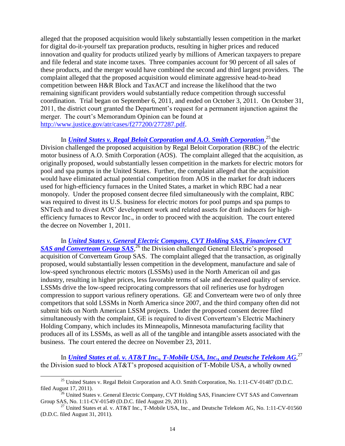alleged that the proposed acquisition would likely substantially lessen competition in the market for digital do-it-yourself tax preparation products, resulting in higher prices and reduced innovation and quality for products utilized yearly by millions of American taxpayers to prepare and file federal and state income taxes. Three companies account for 90 percent of all sales of these products, and the merger would have combined the second and third largest providers. The complaint alleged that the proposed acquisition would eliminate aggressive head-to-head competition between H&R Block and TaxACT and increase the likelihood that the two remaining significant providers would substantially reduce competition through successful coordination. Trial began on September 6, 2011, and ended on October 3, 2011. On October 31, 2011, the district court granted the Department's request for a permanent injunction against the merger. The court's Memorandum Opinion can be found at [http://www.justice.gov/atr/cases/f277200/277287.pdf.](http://www.justice.gov/atr/cases/f277200/277287.pdf)

In *[United States v. Regal Beloit Corporation and A.O. Smith Corporation](http://www.justice.gov/atr/cases/regalbeloit.html)*,<sup>25</sup> the Division challenged the proposed acquisition by Regal Beloit Corporation (RBC) of the electric motor business of A.O. Smith Corporation (AOS). The complaint alleged that the acquisition, as originally proposed, would substantially lessen competition in the markets for electric motors for pool and spa pumps in the United States. Further, the complaint alleged that the acquisition would have eliminated actual potential competition from AOS in the market for draft inducers used for high-efficiency furnaces in the United States, a market in which RBC had a near monopoly. Under the proposed consent decree filed simultaneously with the complaint, RBC was required to divest its U.S. business for electric motors for pool pumps and spa pumps to SNTech and to divest AOS' development work and related assets for draft inducers for highefficiency furnaces to Revcor Inc., in order to proceed with the acquisition. The court entered the decree on November 1, 2011.

In *[United States v. General Electric Company, CVT Holding SAS, Financiere CVT](http://www.justice.gov/atr/cases/geconvert.html)*  [SAS and Converteam Group SAS](http://www.justice.gov/atr/cases/geconvert.html),<sup>26</sup> the Division challenged General Electric's proposed acquisition of Converteam Group SAS. The complaint alleged that the transaction, as originally proposed, would substantially lessen competition in the development, manufacture and sale of low-speed synchronous electric motors (LSSMs) used in the North American oil and gas industry, resulting in higher prices, less favorable terms of sale and decreased quality of service. LSSMs drive the low-speed reciprocating compressors that oil refineries use for hydrogen compression to support various refinery operations. GE and Converteam were two of only three competitors that sold LSSMs in North America since 2007, and the third company often did not submit bids on North American LSSM projects. Under the proposed consent decree filed simultaneously with the complaint, GE is required to divest Converteam's Electric Machinery Holding Company, which includes its Minneapolis, Minnesota manufacturing facility that produces all of its LSSMs, as well as all of the tangible and intangible assets associated with the business. The court entered the decree on November 23, 2011.

In *<u>[United States et al. v. AT&T Inc., T-Mobile USA, Inc., and Deutsche Telekom AG](http://www.justice.gov/atr/cases/atttmobile.htm).<sup>27</sup></del>*</u> the Division sued to block AT&T's proposed acquisition of T-Mobile USA, a wholly owned

 $\overline{\phantom{a}}$ 

<sup>&</sup>lt;sup>25</sup> United States v. Regal Beloit Corporation and A.O. Smith Corporation, No. 1:11-CV-01487 (D.D.C. filed August 17, 2011).

<sup>&</sup>lt;sup>26</sup> United States v. General Electric Company, CVT Holding SAS, Financiere CVT SAS and Converteam Group SAS, No. 1:11-CV-01549 (D.D.C. filed August 29, 2011).

<sup>&</sup>lt;sup>27</sup> United States et al. v. AT&T Inc., T-Mobile USA, Inc., and Deutsche Telekom AG, No. 1:11-CV-01560 (D.D.C. filed August 31, 2011).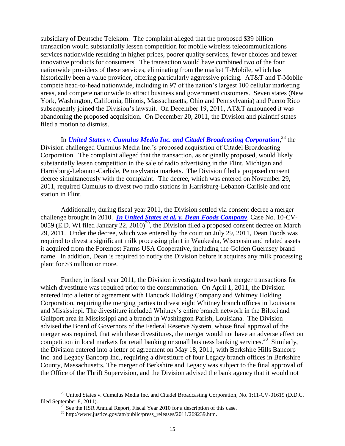subsidiary of Deutsche Telekom. The complaint alleged that the proposed \$39 billion transaction would substantially lessen competition for mobile wireless telecommunications services nationwide resulting in higher prices, poorer quality services, fewer choices and fewer innovative products for consumers. The transaction would have combined two of the four nationwide providers of these services, eliminating from the market T-Mobile, which has historically been a value provider, offering particularly aggressive pricing. AT&T and T-Mobile compete head-to-head nationwide, including in 97 of the nation's largest 100 cellular marketing areas, and compete nationwide to attract business and government customers. Seven states (New York, Washington, California, Illinois, Massachusetts, Ohio and Pennsylvania) and Puerto Rico subsequently joined the Division's lawsuit. On December 19, 2011, AT&T announced it was abandoning the proposed acquisition. On December 20, 2011, the Division and plaintiff states filed a motion to dismiss.

In *United States [v. Cumulus Media Inc. and Citadel Broadcasting Corporation](http://www.justice.gov/atr/cases/cumulus.html)*, <sup>28</sup> the Division challenged Cumulus Media Inc.'s proposed acquisition of Citadel Broadcasting Corporation. The complaint alleged that the transaction, as originally proposed, would likely substantially lessen competition in the sale of radio advertising in the Flint, Michigan and Harrisburg-Lebanon-Carlisle, Pennsylvania markets. The Division filed a proposed consent decree simultaneously with the complaint. The decree, which was entered on November 29, 2011, required Cumulus to divest two radio stations in Harrisburg-Lebanon-Carlisle and one station in Flint.

Additionally, during fiscal year 2011, the Division settled via consent decree a merger challenge brought in 2010. *[In United States et al. v. Dean Foods Company](http://www.justice.gov/atr/cases/deanfoods.htm)*, Case No. 10-CV-0059 (E.D. WI filed January  $22$ ,  $2010)^{29}$ , the Division filed a proposed consent decree on March 29, 2011. Under the decree, which was entered by the court on July 29, 2011, Dean Foods was required to divest a significant milk processing plant in Waukesha, Wisconsin and related assets it acquired from the Foremost Farms USA Cooperative, including the Golden Guernsey brand name. In addition, Dean is required to notify the Division before it acquires any milk processing plant for \$3 million or more.

Further, in fiscal year 2011, the Division investigated two bank merger transactions for which divestiture was required prior to the consummation. On April 1, 2011, the Division entered into a letter of agreement with Hancock Holding Company and Whitney Holding Corporation, requiring the merging parties to divest eight Whitney branch offices in Louisiana and Mississippi. The divestiture included Whitney's entire branch network in the Biloxi and Gulfport area in Mississippi and a branch in Washington Parish, Louisiana. The Division advised the Board of Governors of the Federal Reserve System, whose final approval of the merger was required, that with these divestitures, the merger would not have an adverse effect on competition in local markets for retail banking or small business banking services.<sup>30</sup> Similarly, the Division entered into a letter of agreement on May 18, 2011, with Berkshire Hills Bancorp Inc. and Legacy Bancorp Inc., requiring a divestiture of four Legacy branch offices in Berkshire County, Massachusetts. The merger of Berkshire and Legacy was subject to the final approval of the Office of the Thrift Supervision, and the Division advised the bank agency that it would not

l

<sup>&</sup>lt;sup>28</sup> United States v. Cumulus Media Inc. and Citadel Broadcasting Corporation, No. 1:11-CV-01619 (D.D.C. filed September 8, 2011).

 $29$  See the HSR Annual Report, Fiscal Year 2010 for a description of this case.

 $30$  http://www.justice.gov/atr/public/press\_releases/2011/269239.htm.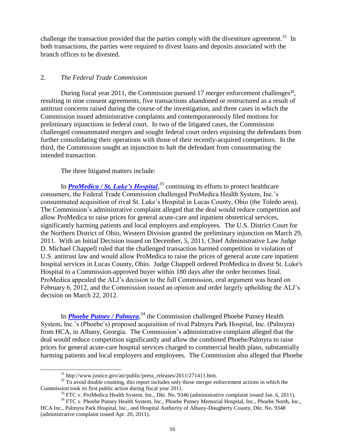challenge the transaction provided that the parties comply with the divestiture agreement.<sup>31</sup> In both transactions, the parties were required to divest loans and deposits associated with the branch offices to be divested.

#### 2. *The Federal Trade Commission*

During fiscal year 2011, the Commission pursued 17 merger enforcement challenges<sup>32</sup>, resulting in nine consent agreements, five transactions abandoned or restructured as a result of antitrust concerns raised during the course of the investigation, and three cases in which the Commission issued administrative complaints and contemporaneously filed motions for preliminary injunctions in federal court. In two of the litigated cases, the Commission challenged consummated mergers and sought federal court orders enjoining the defendants from further consolidating their operations with those of their recently-acquired competitors. In the third, the Commission sought an injunction to halt the defendant from consummating the intended transaction.

The three litigated matters include:

In *ProMedica / [St. Luke's Hospital](http://www.ftc.gov/os/caselist/1010167/index.shtm)*,<sup>33</sup> continuing its efforts to protect healthcare consumers, the Federal Trade Commission challenged ProMedica Health System, Inc.'s consummated acquisition of rival St. Luke's Hospital in Lucas County, Ohio (the Toledo area). The Commission's administrative complaint alleged that the deal would reduce competition and allow ProMedica to raise prices for general acute-care and inpatient obstetrical services, significantly harming patients and local employers and employees. The U.S. District Court for the Northern District of Ohio, Western Division granted the preliminary injunction on March 29, 2011. With an Initial Decision issued on December, 5, 2011, Chief Administrative Law Judge D. Michael Chappell ruled that the challenged transaction harmed competition in violation of U.S. antitrust law and would allow ProMedica to raise the prices of general acute care inpatient hospital services in Lucas County, Ohio. Judge Chappell ordered ProMedica to divest St. Luke's Hospital to a Commission-approved buyer within 180 days after the order becomes final. ProMedica appealed the ALJ's decision to the full Commission, oral argument was heard on February 6, 2012, and the Commission issued an opinion and order largely upholding the ALJ's decision on March 22, 2012.

In *[Phoebe Putney / Palmyra](http://www.ftc.gov/os/caselist/1110067/index.shtm)*, <sup>34</sup> the Commission challenged Phoebe Putney Health System, Inc.'s (Phoebe's) proposed acquisition of rival Palmyra Park Hospital, Inc. (Palmyra) from HCA, in Albany, Georgia. The Commission's administrative complaint alleged that the deal would reduce competition significantly and allow the combined Phoebe/Palmyra to raise prices for general acute-care hospital services charged to commercial health plans, substantially harming patients and local employers and employees. The Commission also alleged that Phoebe

 $\overline{a}$ 

<sup>31</sup> http://www.justice.gov/atr/public/press\_releases/2011/271411.htm.

 $32$  To avoid double counting, this report includes only those merger enforcement actions in which the Commission took its first public action during fiscal year 2011.

 $33$  FTC v. ProMedica Health System, Inc., Dkt. No. 9346 (administrative complaint issued Jan. 6, 2011).

<sup>&</sup>lt;sup>34</sup> FTC v. Phoebe Putney Health System, Inc., Phoebe Putney Memorial Hospital, Inc., Phoebe North, Inc., HCA Inc., Palmyra Park Hospital, Inc., and Hospital Authority of Albany-Dougherty County, Dkt. No. 9348 (administrative complaint issued Apr. 20, 2011).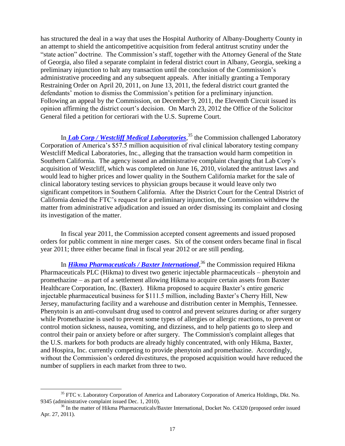has structured the deal in a way that uses the Hospital Authority of Albany-Dougherty County in an attempt to shield the anticompetitive acquisition from federal antitrust scrutiny under the "state action" doctrine. The Commission's staff, together with the Attorney General of the State of Georgia, also filed a separate complaint in federal district court in Albany, Georgia, seeking a preliminary injunction to halt any transaction until the conclusion of the Commission's administrative proceeding and any subsequent appeals. After initially granting a Temporary Restraining Order on April 20, 2011, on June 13, 2011, the federal district court granted the defendants' motion to dismiss the Commission's petition for a preliminary injunction. Following an appeal by the Commission, on December 9, 2011, the Eleventh Circuit issued its opinion affirming the district court's decision. On March 23, 2012 the Office of the Solicitor General filed a petition for certiorari with the U.S. Supreme Court.

In *[Lab Corp / Westcliff Medical Laboratories](http://www.ftc.gov/os/caselist/1010152/index.shtm)*, <sup>35</sup> the Commission challenged Laboratory Corporation of America's \$57.5 million acquisition of rival clinical laboratory testing company Westcliff Medical Laboratories, Inc., alleging that the transaction would harm competition in Southern California. The agency issued an administrative complaint charging that Lab Corp's acquisition of Westcliff, which was completed on June 16, 2010, violated the antitrust laws and would lead to higher prices and lower quality in the Southern California market for the sale of clinical laboratory testing services to physician groups because it would leave only two significant competitors in Southern California. After the District Court for the Central District of California denied the FTC's request for a preliminary injunction, the Commission withdrew the matter from administrative adjudication and issued an order dismissing its complaint and closing its investigation of the matter.

In fiscal year 2011, the Commission accepted consent agreements and issued proposed orders for public comment in nine merger cases. Six of the consent orders became final in fiscal year 2011; three either became final in fiscal year 2012 or are still pending.

In *[Hikma Pharmaceuticals / Baxter International](http://www.ftc.gov/os/caselist/1110051/index.shtm)*, <sup>36</sup> the Commission required Hikma Pharmaceuticals PLC (Hikma) to divest two generic injectable pharmaceuticals – phenytoin and promethazine – as part of a settlement allowing Hikma to acquire certain assets from Baxter Healthcare Corporation, Inc. (Baxter). Hikma proposed to acquire Baxter's entire generic injectable pharmaceutical business for \$111.5 million, including Baxter's Cherry Hill, New Jersey, manufacturing facility and a warehouse and distribution center in Memphis, Tennessee. Phenytoin is an anti-convulsant drug used to control and prevent seizures during or after surgery while Promethazine is used to prevent some types of allergies or allergic reactions, to prevent or control motion sickness, nausea, vomiting, and dizziness, and to help patients go to sleep and control their pain or anxiety before or after surgery. The Commission's complaint alleges that the U.S. markets for both products are already highly concentrated, with only Hikma, Baxter, and Hospira, Inc. currently competing to provide phenytoin and promethazine. Accordingly, without the Commission's ordered divestitures, the proposed acquisition would have reduced the number of suppliers in each market from three to two.

l

<sup>&</sup>lt;sup>35</sup> FTC v. Laboratory Corporation of America and Laboratory Corporation of America Holdings, Dkt. No. 9345 (administrative complaint issued Dec. 1, 2010).

<sup>&</sup>lt;sup>36</sup> In the matter of Hikma Pharmaceuticals/Baxter International, Docket No. C4320 (proposed order issued Apr. 27, 2011).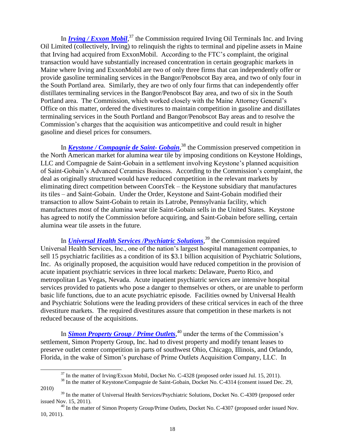In *[Irving / Exxon Mobil](http://www.ftc.gov/os/caselist/1010021/index.shtm)*,<sup>37</sup> the Commission required Irving Oil Terminals Inc. and Irving Oil Limited (collectively, Irving) to relinquish the rights to terminal and pipeline assets in Maine that Irving had acquired from ExxonMobil. According to the FTC's complaint, the original transaction would have substantially increased concentration in certain geographic markets in Maine where Irving and ExxonMobil are two of only three firms that can independently offer or provide gasoline terminaling services in the Bangor/Penobscot Bay area, and two of only four in the South Portland area. Similarly, they are two of only four firms that can independently offer distillates terminaling services in the Bangor/Penobscot Bay area, and two of six in the South Portland area. The Commission, which worked closely with the Maine Attorney General's Office on this matter, ordered the divestitures to maintain competition in gasoline and distillates terminaling services in the South Portland and Bangor/Penobscot Bay areas and to resolve the Commission's charges that the acquisition was anticompetitive and could result in higher gasoline and diesel prices for consumers.

In *[Keystone / Compagnie de Saint-](http://www.ftc.gov/os/caselist/1010175/index.shtm) Gobain*, <sup>38</sup> the Commission preserved competition in the North American market for alumina wear tile by imposing conditions on Keystone Holdings, LLC and Compagnie de Saint-Gobain in a settlement involving Keystone's planned acquisition of Saint-Gobain's Advanced Ceramics Business. According to the Commission's complaint, the deal as originally structured would have reduced competition in the relevant markets by eliminating direct competition between CoorsTek – the Keystone subsidiary that manufactures its tiles – and Saint-Gobain. Under the Order, Keystone and Saint-Gobain modified their transaction to allow Saint-Gobain to retain its Latrobe, Pennsylvania facility, which manufactures most of the alumina wear tile Saint-Gobain sells in the United States. Keystone has agreed to notify the Commission before acquiring, and Saint-Gobain before selling, certain alumina wear tile assets in the future.

In *[Universal Health Services /Psychiatric Solutions](http://www.ftc.gov/os/caselist/1010142/index.shtm)*, <sup>39</sup> the Commission required Universal Health Services, Inc., one of the nation's largest hospital management companies, to sell 15 psychiatric facilities as a condition of its \$3.1 billion acquisition of Psychiatric Solutions, Inc. As originally proposed, the acquisition would have reduced competition in the provision of acute inpatient psychiatric services in three local markets: Delaware, Puerto Rico, and metropolitan Las Vegas, Nevada. Acute inpatient psychiatric services are intensive hospital services provided to patients who pose a danger to themselves or others, or are unable to perform basic life functions, due to an acute psychiatric episode. Facilities owned by Universal Health and Psychiatric Solutions were the leading providers of these critical services in each of the three divestiture markets. The required divestitures assure that competition in these markets is not reduced because of the acquisitions.

In **[Simon Property Group / Prime Outlets](http://www.ftc.gov/os/caselist/1010061/index.shtm)**,<sup>40</sup> under the terms of the Commission's settlement, Simon Property Group, Inc. had to divest property and modify tenant leases to preserve outlet center competition in parts of southwest Ohio, Chicago, Illinois, and Orlando, Florida, in the wake of Simon's purchase of Prime Outlets Acquisition Company, LLC. In

 $\overline{a}$ 

<sup>&</sup>lt;sup>37</sup> In the matter of Irving/Exxon Mobil, Docket No. C-4328 (proposed order issued Jul. 15, 2011).

<sup>&</sup>lt;sup>38</sup> In the matter of Keystone/Compagnie de Saint-Gobain, Docket No. C-4314 (consent issued Dec. 29, 2010)

<sup>&</sup>lt;sup>39</sup> In the matter of Universal Health Services/Psychiatric Solutions, Docket No. C-4309 (proposed order issued Nov. 15, 2011).

<sup>&</sup>lt;sup>40</sup> In the matter of Simon Property Group/Prime Outlets, Docket No. C-4307 (proposed order issued Nov. 10, 2011).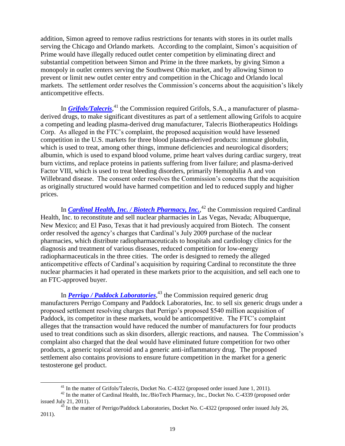addition, Simon agreed to remove radius restrictions for tenants with stores in its outlet malls serving the Chicago and Orlando markets. According to the complaint, Simon's acquisition of Prime would have illegally reduced outlet center competition by eliminating direct and substantial competition between Simon and Prime in the three markets, by giving Simon a monopoly in outlet centers serving the Southwest Ohio market, and by allowing Simon to prevent or limit new outlet center entry and competition in the Chicago and Orlando local markets. The settlement order resolves the Commission's concerns about the acquisition's likely anticompetitive effects.

In *[Grifols/Talecris](http://www.ftc.gov/os/caselist/1010153/index.shtm)*,<sup>41</sup> the Commission required Grifols, S.A., a manufacturer of plasmaderived drugs, to make significant divestitures as part of a settlement allowing Grifols to acquire a competing and leading plasma-derived drug manufacturer, Talecris Biotherapeutics Holdings Corp. As alleged in the FTC's complaint, the proposed acquisition would have lessened competition in the U.S. markets for three blood plasma-derived products: immune globulin, which is used to treat, among other things, immune deficiencies and neurological disorders; albumin, which is used to expand blood volume, prime heart valves during cardiac surgery, treat burn victims, and replace proteins in patients suffering from liver failure; and plasma-derived Factor VIII, which is used to treat bleeding disorders, primarily Hemophilia A and von Willebrand disease. The consent order resolves the Commission's concerns that the acquisition as originally structured would have harmed competition and led to reduced supply and higher prices.

In *[Cardinal Health, Inc. / Biotech Pharmacy, Inc.](http://www.ftc.gov/os/caselist/0910136/index.shtm)*,<sup>42</sup> the Commission required Cardinal Health, Inc. to reconstitute and sell nuclear pharmacies in Las Vegas, Nevada; Albuquerque, New Mexico; and El Paso, Texas that it had previously acquired from Biotech. The consent order resolved the agency's charges that Cardinal's July 2009 purchase of the nuclear pharmacies, which distribute radiopharmaceuticals to hospitals and cardiology clinics for the diagnosis and treatment of various diseases, reduced competition for low-energy radiopharmaceuticals in the three cities. The order is designed to remedy the alleged anticompetitive effects of Cardinal's acquisition by requiring Cardinal to reconstitute the three nuclear pharmacies it had operated in these markets prior to the acquisition, and sell each one to an FTC-approved buyer.

In *[Perrigo / Paddock Laboratories](http://www.ftc.gov/os/caselist/1110083/index.shtm)*, <sup>43</sup> the Commission required generic drug manufacturers Perrigo Company and Paddock Laboratories, Inc. to sell six generic drugs under a proposed settlement resolving charges that Perrigo's proposed \$540 million acquisition of Paddock, its competitor in these markets, would be anticompetitive. The FTC's complaint alleges that the transaction would have reduced the number of manufacturers for four products used to treat conditions such as skin disorders, allergic reactions, and nausea. The Commission's complaint also charged that the deal would have eliminated future competition for two other products, a generic topical steroid and a generic anti-inflammatory drug. The proposed settlement also contains provisions to ensure future competition in the market for a generic testosterone gel product.

 $\overline{\phantom{a}}$ 

<sup>&</sup>lt;sup>41</sup> In the matter of Grifols/Talecris, Docket No. C-4322 (proposed order issued June 1, 2011).

<sup>&</sup>lt;sup>42</sup> In the matter of Cardinal Health, Inc./BioTech Pharmacy, Inc., Docket No. C-4339 (proposed order issued July 21, 2011).

<sup>&</sup>lt;sup>43</sup> In the matter of Perrigo/Paddock Laboratories, Docket No. C-4322 (proposed order issued July 26, 2011).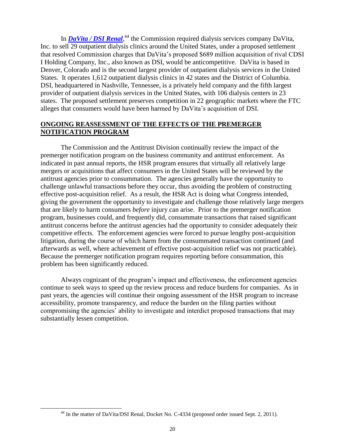In *[DaVita / DSI Renal](http://www.ftc.gov/os/caselist/1110103/index.shtm)*,<sup>44</sup> the Commission required dialysis services company DaVita, Inc. to sell 29 outpatient dialysis clinics around the United States, under a proposed settlement that resolved Commission charges that DaVita's proposed \$689 million acquisition of rival CDSI I Holding Company, Inc., also known as DSI, would be anticompetitive. DaVita is based in Denver, Colorado and is the second largest provider of outpatient dialysis services in the United States. It operates 1,612 outpatient dialysis clinics in 42 states and the District of Columbia. DSI, headquartered in Nashville, Tennessee, is a privately held company and the fifth largest provider of outpatient dialysis services in the United States, with 106 dialysis centers in 23 states. The proposed settlement preserves competition in 22 geographic markets where the FTC alleges that consumers would have been harmed by DaVita's acquisition of DSI.

#### **ONGOING REASSESSMENT OF THE EFFECTS OF THE PREMERGER NOTIFICATION PROGRAM**

The Commission and the Antitrust Division continually review the impact of the premerger notification program on the business community and antitrust enforcement. As indicated in past annual reports, the HSR program ensures that virtually all relatively large mergers or acquisitions that affect consumers in the United States will be reviewed by the antitrust agencies prior to consummation. The agencies generally have the opportunity to challenge unlawful transactions before they occur, thus avoiding the problem of constructing effective post-acquisition relief. As a result, the HSR Act is doing what Congress intended, giving the government the opportunity to investigate and challenge those relatively large mergers that are likely to harm consumers *before* injury can arise. Prior to the premerger notification program, businesses could, and frequently did, consummate transactions that raised significant antitrust concerns before the antitrust agencies had the opportunity to consider adequately their competitive effects. The enforcement agencies were forced to pursue lengthy post-acquisition litigation, during the course of which harm from the consummated transaction continued (and afterwards as well, where achievement of effective post-acquisition relief was not practicable). Because the premerger notification program requires reporting before consummation, this problem has been significantly reduced.

Always cognizant of the program's impact and effectiveness, the enforcement agencies continue to seek ways to speed up the review process and reduce burdens for companies. As in past years, the agencies will continue their ongoing assessment of the HSR program to increase accessibility, promote transparency, and reduce the burden on the filing parties without compromising the agencies' ability to investigate and interdict proposed transactions that may substantially lessen competition.

 $\overline{a}$ 

<sup>&</sup>lt;sup>44</sup> In the matter of DaVita/DSI Renal, Docket No. C-4334 (proposed order issued Sept. 2, 2011).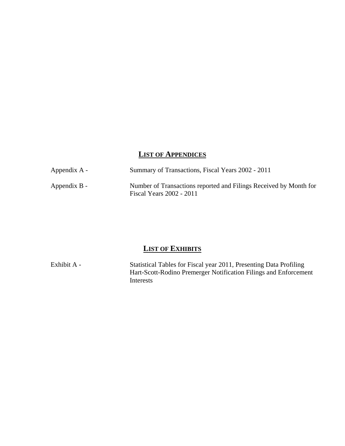#### **LIST OF APPENDICES**

| Appendix A - | Summary of Transactions, Fiscal Years 2002 - 2011                                             |
|--------------|-----------------------------------------------------------------------------------------------|
| Appendix B - | Number of Transactions reported and Filings Received by Month for<br>Fiscal Years 2002 - 2011 |

## **LIST OF EXHIBITS**

Exhibit A - Statistical Tables for Fiscal year 2011, Presenting Data Profiling Hart-Scott-Rodino Premerger Notification Filings and Enforcement Interests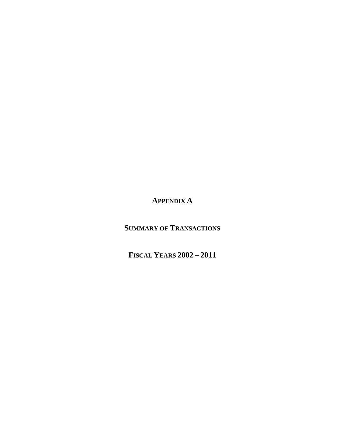**APPENDIX A** 

**SUMMARY OF TRANSACTIONS**

**FISCAL YEARS 2002 – 2011**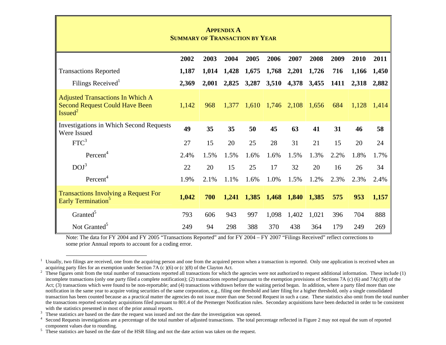|                                                                                                        |                                       |       | <b>APPENDIX A</b> |       |       |       |       |      |       |       |
|--------------------------------------------------------------------------------------------------------|---------------------------------------|-------|-------------------|-------|-------|-------|-------|------|-------|-------|
|                                                                                                        | <b>SUMMARY OF TRANSACTION BY YEAR</b> |       |                   |       |       |       |       |      |       |       |
|                                                                                                        |                                       |       |                   |       |       |       |       |      |       |       |
|                                                                                                        | 2002                                  | 2003  | 2004              | 2005  | 2006  | 2007  | 2008  | 2009 | 2010  | 2011  |
| <b>Transactions Reported</b>                                                                           | 1,187                                 | 1,014 | 1,428             | 1,675 | 1,768 | 2,201 | 1,726 | 716  | 1,166 | 1,450 |
| Filings Received                                                                                       | 2,369                                 | 2,001 | 2,825             | 3,287 | 3,510 | 4,378 | 3,455 | 1411 | 2,318 | 2,882 |
| <b>Adjusted Transactions In Which A</b><br><b>Second Request Could Have Been</b><br>Isued <sup>2</sup> | 1,142                                 | 968   | 1,377             | 1,610 | 1,746 | 2,108 | 1,656 | 684  | 1,128 | 1,414 |
| <b>Investigations in Which Second Requests</b><br>Were Issued                                          | 49                                    | 35    | 35                | 50    | 45    | 63    | 41    | 31   | 46    | 58    |
| FTC <sup>3</sup>                                                                                       | 27                                    | 15    | 20                | 25    | 28    | 31    | 21    | 15   | 20    | 24    |
| Percent <sup>4</sup>                                                                                   | 2.4%                                  | 1.5%  | 1.5%              | 1.6%  | 1.6%  | 1.5%  | 1.3%  | 2.2% | 1.8%  | 1.7%  |
| DOJ <sup>3</sup>                                                                                       | 22                                    | 20    | 15                | 25    | 17    | 32    | 20    | 16   | 26    | 34    |
| Percent <sup>4</sup>                                                                                   | 1.9%                                  | 2.1%  | 1.1%              | 1.6%  | 1.0%  | 1.5%  | 1.2%  | 2.3% | 2.3%  | 2.4%  |
| <b>Transactions Involving a Request For</b><br>Early Termination <sup>3</sup>                          | 1,042                                 | 700   | 1,241             | 1,385 | 1,468 | 1,840 | 1,385 | 575  | 953   | 1,157 |
| Granted <sup>5</sup>                                                                                   | 793                                   | 606   | 943               | 997   | 1,098 | 1,402 | 1,021 | 396  | 704   | 888   |
| Not Granted <sup>5</sup>                                                                               | 249                                   | 94    | 298               | 388   | 370   | 438   | 364   | 179  | 249   | 269   |

Note: The data for FY 2004 and FY 2005 "Transactions Reported" and for FY 2004 – FY 2007 "Filings Received" reflect corrections to some prior Annual reports to account for a coding error.

<sup>1</sup> Usually, two filings are received, one from the acquiring person and one from the acquired person when a transaction is reported. Only one application is received when an acquiring party files for an exemption under Section 7A  $(c)$  (6) or  $(c)$  (8) of the Clayton Act.

<sup>&</sup>lt;sup>2</sup> These figures omit from the total number of transactions reported all transactions for which the agencies were not authorized to request additional information. These include (1) incomplete transactions (only one party filed a complete notification); (2) transactions reported pursuant to the exemption provisions of Sections 7A (c) (6) and 7A(c)(8) of the Act; (3) transactions which were found to be non-reportable; and (4) transactions withdrawn before the waiting period began. In addition, where a party filed more than one notification in the same year to acquire voting securities of the same corporation, e.g., filing one threshold and later filing for a higher threshold, only a single consolidated transaction has been counted because as a practical matter the agencies do not issue more than one Second Request in such a case. These statistics also omit from the total number the transactions reported secondary acquisitions filed pursuant to 801.4 of the Premerger Notification rules. Secondary acquisitions have been deducted in order to be consistent with the statistics presented in most of the prior annual reports.

These statistics are based on the date the request was issued and not the date the investigation was opened.

Second Requests investigations are a percentage of the total number of adjusted transactions. The total percentage reflected in Figure 2 may not equal the sum of reported component values due to rounding.

<sup>&</sup>lt;sup>5</sup> These statistics are based on the date of the HSR filing and not the date action was taken on the request.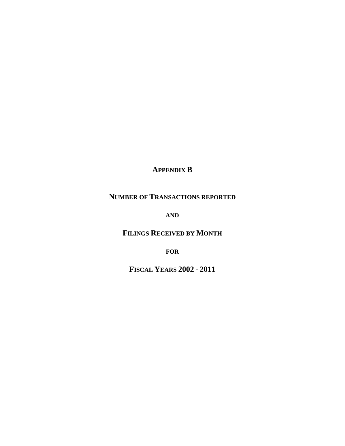### **APPENDIX B**

### **NUMBER OF TRANSACTIONS REPORTED**

**AND**

**FILINGS RECEIVED BY MONTH** 

**FOR**

**FISCAL YEARS 2002 - 2011**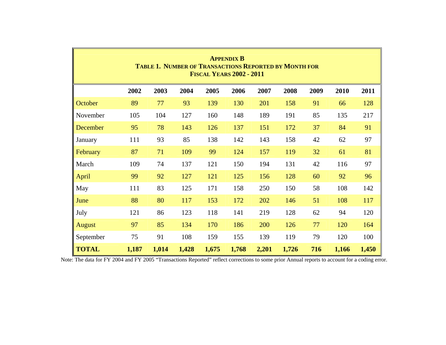|                                                                           |                                                                              |       |       |       | <b>APPENDIX B</b><br><b>FISCAL YEARS 2002 - 2011</b> |       | <b>TABLE 1. NUMBER OF TRANSACTIONS REPORTED BY MONTH FOR</b> |     |       |       |  |  |  |  |  |
|---------------------------------------------------------------------------|------------------------------------------------------------------------------|-------|-------|-------|------------------------------------------------------|-------|--------------------------------------------------------------|-----|-------|-------|--|--|--|--|--|
|                                                                           | 2002<br>2003<br>2005<br>2006<br>2007<br>2008<br>2011<br>2004<br>2009<br>2010 |       |       |       |                                                      |       |                                                              |     |       |       |  |  |  |  |  |
| October                                                                   | 89                                                                           | 77    | 93    | 139   | 130                                                  | 201   | 158                                                          | 91  | 66    | 128   |  |  |  |  |  |
| November                                                                  | 105                                                                          | 104   | 127   | 160   | 148                                                  | 189   | 191                                                          | 85  | 135   | 217   |  |  |  |  |  |
| 78<br>37<br>91<br>95<br>143<br>126<br>137<br>84<br>December<br>151<br>172 |                                                                              |       |       |       |                                                      |       |                                                              |     |       |       |  |  |  |  |  |
| 97<br>85<br>93<br>42<br>138<br>142<br>143<br>158<br>62<br>111<br>January  |                                                                              |       |       |       |                                                      |       |                                                              |     |       |       |  |  |  |  |  |
| February                                                                  | 87                                                                           | 71    | 109   | 99    | 124                                                  | 157   | 119                                                          | 32  | 61    | 81    |  |  |  |  |  |
| March                                                                     | 109                                                                          | 74    | 137   | 121   | 150                                                  | 194   | 131                                                          | 42  | 116   | 97    |  |  |  |  |  |
| April                                                                     | 99                                                                           | 92    | 127   | 121   | 125                                                  | 156   | 128                                                          | 60  | 92    | 96    |  |  |  |  |  |
| May                                                                       | 111                                                                          | 83    | 125   | 171   | 158                                                  | 250   | 150                                                          | 58  | 108   | 142   |  |  |  |  |  |
| June                                                                      | 88                                                                           | 80    | 117   | 153   | 172                                                  | 202   | 146                                                          | 51  | 108   | 117   |  |  |  |  |  |
| July                                                                      | 121                                                                          | 86    | 123   | 118   | 141                                                  | 219   | 128                                                          | 62  | 94    | 120   |  |  |  |  |  |
| August                                                                    | 97                                                                           | 85    | 134   | 170   | 186                                                  | 200   | 126                                                          | 77  | 120   | 164   |  |  |  |  |  |
| September                                                                 | 75                                                                           | 91    | 108   | 159   | 155                                                  | 139   | 119                                                          | 79  | 120   | 100   |  |  |  |  |  |
| <b>TOTAL</b>                                                              | 1,187                                                                        | 1,014 | 1,428 | 1,675 | 1,768                                                | 2,201 | 1,726                                                        | 716 | 1,166 | 1,450 |  |  |  |  |  |

Note: The data for FY 2004 and FY 2005 "Transactions Reported" reflect corrections to some prior Annual reports to account for a coding error.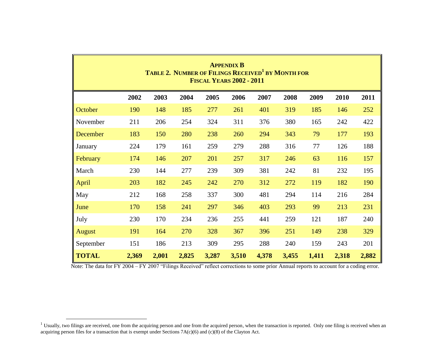|                                                                              |                                                                   |       | <b>TABLE 2. NUMBER OF FILINGS RECEIVED<sup>1</sup> BY MONTH FOR</b> |       | <b>APPENDIX B</b><br><b>FISCAL YEARS 2002 - 2011</b> |       |       |       |       |       |  |  |  |  |  |
|------------------------------------------------------------------------------|-------------------------------------------------------------------|-------|---------------------------------------------------------------------|-------|------------------------------------------------------|-------|-------|-------|-------|-------|--|--|--|--|--|
|                                                                              | 2002                                                              | 2003  | 2004                                                                | 2005  | 2006                                                 | 2007  | 2008  | 2009  | 2010  | 2011  |  |  |  |  |  |
| October                                                                      | 190                                                               | 148   | 185                                                                 | 277   | 261                                                  | 401   | 319   | 185   | 146   | 252   |  |  |  |  |  |
| November                                                                     | 211                                                               | 206   | 254                                                                 | 324   | 311                                                  | 376   | 380   | 165   | 242   | 422   |  |  |  |  |  |
| December                                                                     | 183<br>150<br>238<br>79<br>177<br>193<br>280<br>260<br>294<br>343 |       |                                                                     |       |                                                      |       |       |       |       |       |  |  |  |  |  |
| 188<br>288<br>316<br>224<br>179<br>161<br>259<br>279<br>77<br>126<br>January |                                                                   |       |                                                                     |       |                                                      |       |       |       |       |       |  |  |  |  |  |
| February                                                                     | 174                                                               | 146   | 207                                                                 | 201   | 257                                                  | 317   | 246   | 63    | 116   | 157   |  |  |  |  |  |
| March                                                                        | 230                                                               | 144   | 277                                                                 | 239   | 309                                                  | 381   | 242   | 81    | 232   | 195   |  |  |  |  |  |
| April                                                                        | 203                                                               | 182   | 245                                                                 | 242   | 270                                                  | 312   | 272   | 119   | 182   | 190   |  |  |  |  |  |
| May                                                                          | 212                                                               | 168   | 258                                                                 | 337   | 300                                                  | 481   | 294   | 114   | 216   | 284   |  |  |  |  |  |
| June                                                                         | 170                                                               | 158   | 241                                                                 | 297   | 346                                                  | 403   | 293   | 99    | 213   | 231   |  |  |  |  |  |
| July                                                                         | 230                                                               | 170   | 234                                                                 | 236   | 255                                                  | 441   | 259   | 121   | 187   | 240   |  |  |  |  |  |
| August                                                                       | 191                                                               | 164   | 270                                                                 | 328   | 367                                                  | 396   | 251   | 149   | 238   | 329   |  |  |  |  |  |
| September                                                                    | 151                                                               | 186   | 213                                                                 | 309   | 295                                                  | 288   | 240   | 159   | 243   | 201   |  |  |  |  |  |
| <b>TOTAL</b>                                                                 | 2,369                                                             | 2,001 | 2,825                                                               | 3,287 | 3,510                                                | 4,378 | 3,455 | 1,411 | 2,318 | 2,882 |  |  |  |  |  |

Note: The data for FY 2004 – FY 2007 "Filings Received" reflect corrections to some prior Annual reports to account for a coding error.

 $\overline{a}$ 

 $1$  Usually, two filings are received, one from the acquiring person and one from the acquired person, when the transaction is reported. Only one filing is received when an acquiring person files for a transaction that is exempt under Sections 7A(c)(6) and (c)(8) of the Clayton Act.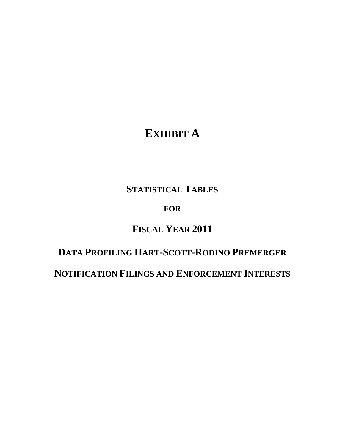# **EXHIBIT A**

## **STATISTICAL TABLES**

### **FOR**

# **FISCAL YEAR 2011**

# **DATA PROFILING HART-SCOTT-RODINO PREMERGER**

**NOTIFICATION FILINGS AND ENFORCEMENT INTERESTS**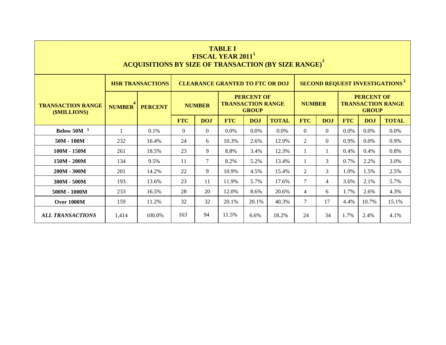|                                          |                                                                                                   | <b>ACQUISITIONS BY SIZE OF TRANSACTION (BY SIZE RANGE)<sup>2</sup></b>                                                                                                                                                                                                                                                             |          |          | <b>TABLE I</b><br><b>FISCAL YEAR 2011</b> |         |       |          |          |      |         |                                                   |  |
|------------------------------------------|---------------------------------------------------------------------------------------------------|------------------------------------------------------------------------------------------------------------------------------------------------------------------------------------------------------------------------------------------------------------------------------------------------------------------------------------|----------|----------|-------------------------------------------|---------|-------|----------|----------|------|---------|---------------------------------------------------|--|
|                                          |                                                                                                   | <b>HSR TRANSACTIONS</b>                                                                                                                                                                                                                                                                                                            |          |          | <b>CLEARANCE GRANTED TO FTC OR DOJ</b>    |         |       |          |          |      |         | <b>SECOND REQUEST INVESTIGATIONS</b> <sup>5</sup> |  |
| <b>TRANSACTION RANGE</b><br>(\$MILLIONS) | <b>NUMBER</b>                                                                                     | <b>PERCENT OF</b><br><b>PERCENT OF</b><br><b>TRANSACTION RANGE</b><br><b>NUMBER</b><br><b>TRANSACTION RANGE</b><br><b>NUMBER</b><br><b>PERCENT</b><br><b>GROUP</b><br><b>GROUP</b><br><b>FTC</b><br><b>FTC</b><br><b>DOJ</b><br><b>FTC</b><br><b>DOJ</b><br><b>TOTAL</b><br><b>DOJ</b><br><b>FTC</b><br><b>DOJ</b><br><b>TOTAL</b> |          |          |                                           |         |       |          |          |      |         |                                                   |  |
|                                          |                                                                                                   |                                                                                                                                                                                                                                                                                                                                    |          |          |                                           |         |       |          |          |      |         |                                                   |  |
| <b>Below 50M</b> <sup>5</sup>            |                                                                                                   | 0.1%                                                                                                                                                                                                                                                                                                                               | $\Omega$ | $\Omega$ | 0.0%                                      | $0.0\%$ | 0.0%  | $\Omega$ | $\Omega$ | 0.0% | 0.0%    | 0.0%                                              |  |
| $50M - 100M$                             | 232                                                                                               | 16.4%                                                                                                                                                                                                                                                                                                                              | 24       | 6        | 10.3%                                     | 2.6%    | 12.9% | 2        | $\Omega$ | 0.9% | $0.0\%$ | 0.9%                                              |  |
| 100M - 150M                              | 261                                                                                               | 18.5%                                                                                                                                                                                                                                                                                                                              | 23       | 9        | 8.8%                                      | 3.4%    | 12.3% |          | 1        | 0.4% | 0.4%    | 0.8%                                              |  |
| 150M - 200M                              | 134                                                                                               | 9.5%                                                                                                                                                                                                                                                                                                                               | 11       | $\tau$   | 8.2%                                      | 5.2%    | 13.4% |          | 3        | 0.7% | 2.2%    | 3.0%                                              |  |
| $200M - 300M$                            | 201                                                                                               | 14.2%                                                                                                                                                                                                                                                                                                                              | 22       | 9        | 10.9%                                     | 4.5%    | 15.4% | 2        | 3        | 1.0% | 1.5%    | 2.5%                                              |  |
| 300M - 500M                              | 193                                                                                               | 13.6%                                                                                                                                                                                                                                                                                                                              | 23       | 11       | 11.9%                                     | 5.7%    | 17.6% | $\tau$   | 4        | 3.6% | 2.1%    | 5.7%                                              |  |
| 500M - 1000M                             | 233<br>28<br>20<br>12.0%<br>4.3%<br>16.5%<br>8.6%<br>20.6%<br>$\overline{4}$<br>6<br>1.7%<br>2.6% |                                                                                                                                                                                                                                                                                                                                    |          |          |                                           |         |       |          |          |      |         |                                                   |  |
| Over 1000M                               | $\tau$<br>32<br>159<br>11.2%<br>32<br>20.1%<br>40.3%<br>17<br>10.7%<br>15.1%<br>20.1%<br>4.4%     |                                                                                                                                                                                                                                                                                                                                    |          |          |                                           |         |       |          |          |      |         |                                                   |  |
| <b>ALL TRANSACTIONS</b>                  | 1,414                                                                                             | 100.0%                                                                                                                                                                                                                                                                                                                             | 163      | 94       | 11.5%                                     | 6.6%    | 18.2% | 24       | 34       | 1.7% | 2.4%    | 4.1%                                              |  |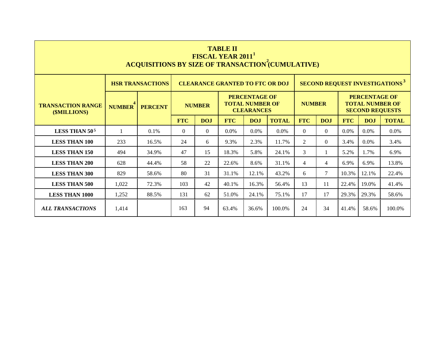|                                          |                                                                                      | <b>ACQUISITIONS BY SIZE OF TRANSACTION (CUMULATIVE)</b>                                                                                                                                                           |            |            | <b>TABLE II</b><br><b>FISCAL YEAR 2011</b> |            |              |                |            |            |            |                                                  |  |
|------------------------------------------|--------------------------------------------------------------------------------------|-------------------------------------------------------------------------------------------------------------------------------------------------------------------------------------------------------------------|------------|------------|--------------------------------------------|------------|--------------|----------------|------------|------------|------------|--------------------------------------------------|--|
|                                          |                                                                                      | <b>HSR TRANSACTIONS</b>                                                                                                                                                                                           |            |            | <b>CLEARANCE GRANTED TO FTC OR DOJ</b>     |            |              |                |            |            |            | <b>SECOND REQUEST INVESTIGATIONS<sup>3</sup></b> |  |
| <b>TRANSACTION RANGE</b><br>(\$MILLIONS) | <b>NUMBER</b>                                                                        | <b>PERCENTAGE OF</b><br><b>PERCENTAGE OF</b><br><b>TOTAL NUMBER OF</b><br><b>TOTAL NUMBER OF</b><br><b>NUMBER</b><br><b>NUMBER</b><br><b>PERCENT</b><br><b>CLEARANCES</b><br><b>SECOND REQUESTS</b><br><b>FTC</b> |            |            |                                            |            |              |                |            |            |            |                                                  |  |
|                                          |                                                                                      |                                                                                                                                                                                                                   | <b>FTC</b> | <b>DOJ</b> |                                            | <b>DOJ</b> | <b>TOTAL</b> | <b>FTC</b>     | <b>DOJ</b> | <b>FTC</b> | <b>DOJ</b> | <b>TOTAL</b>                                     |  |
| LESS THAN 50 <sup>5</sup>                | 1                                                                                    | $0.1\%$                                                                                                                                                                                                           | $\Omega$   | $\theta$   | $0.0\%$                                    | $0.0\%$    | $0.0\%$      | $\Omega$       | $\Omega$   | 0.0%       | $0.0\%$    | $0.0\%$                                          |  |
| <b>LESS THAN 100</b>                     | 233                                                                                  | 16.5%                                                                                                                                                                                                             | 24         | 6          | 9.3%                                       | 2.3%       | 11.7%        | 2              | $\Omega$   | 3.4%       | 0.0%       | 3.4%                                             |  |
| <b>LESS THAN 150</b>                     | 494                                                                                  | 34.9%                                                                                                                                                                                                             | 47         | 15         | 18.3%                                      | 5.8%       | 24.1%        | 3              |            | 5.2%       | 1.7%       | 6.9%                                             |  |
| <b>LESS THAN 200</b>                     | 628                                                                                  | 44.4%                                                                                                                                                                                                             | 58         | 22         | 22.6%                                      | 8.6%       | 31.1%        | $\overline{4}$ | 4          | 6.9%       | 6.9%       | 13.8%                                            |  |
| <b>LESS THAN 300</b>                     | 829                                                                                  | 58.6%                                                                                                                                                                                                             | 80         | 31         | 31.1%                                      | 12.1%      | 43.2%        | 6              | 7          | 10.3%      | 12.1%      | 22.4%                                            |  |
| <b>LESS THAN 500</b>                     | 1,022                                                                                | 72.3%                                                                                                                                                                                                             | 103        | 42         | 40.1%                                      | 16.3%      | 56.4%        | 13             | 11         | 22.4%      | 19.0%      | 41.4%                                            |  |
| <b>LESS THAN 1000</b>                    | 62<br>17<br>17<br>1,252<br>88.5%<br>131<br>51.0%<br>24.1%<br>75.1%<br>29.3%<br>29.3% |                                                                                                                                                                                                                   |            |            |                                            |            |              |                |            | 58.6%      |            |                                                  |  |
| <b>ALL TRANSACTIONS</b>                  | 1,414                                                                                | 94<br>163<br>24<br>34<br>63.4%<br>100.0%<br>58.6%<br>36.6%<br>41.4%<br>100.0%                                                                                                                                     |            |            |                                            |            |              |                |            |            |            |                                                  |  |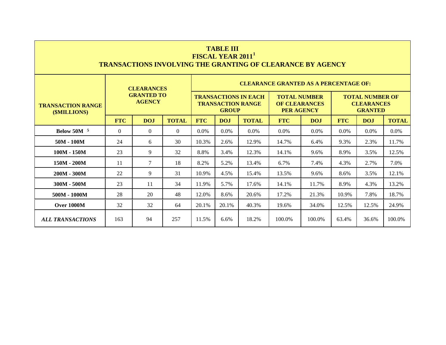|                                          |            |                                    |              |                                                                                             | <b>TABLE III</b><br>FISCAL YEAR 2011 <sup>1</sup> |                                                         | <b>TRANSACTIONS INVOLVING THE GRANTING OF CLEARANCE BY AGENCY</b> |        |       |                                                               |        |  |  |  |  |
|------------------------------------------|------------|------------------------------------|--------------|---------------------------------------------------------------------------------------------|---------------------------------------------------|---------------------------------------------------------|-------------------------------------------------------------------|--------|-------|---------------------------------------------------------------|--------|--|--|--|--|
|                                          |            | <b>CLEARANCES</b>                  |              |                                                                                             |                                                   |                                                         | <b>CLEARANCE GRANTED AS A PERCENTAGE OF:</b>                      |        |       |                                                               |        |  |  |  |  |
| <b>TRANSACTION RANGE</b><br>(\$MILLIONS) |            | <b>GRANTED TO</b><br><b>AGENCY</b> |              |                                                                                             | <b>GROUP</b>                                      | <b>TRANSACTIONS IN EACH</b><br><b>TRANSACTION RANGE</b> | <b>TOTAL NUMBER</b><br><b>OF CLEARANCES</b><br><b>PER AGENCY</b>  |        |       | <b>TOTAL NUMBER OF</b><br><b>CLEARANCES</b><br><b>GRANTED</b> |        |  |  |  |  |
|                                          | <b>FTC</b> | DOJ                                | <b>TOTAL</b> | <b>FTC</b><br><b>TOTAL</b><br><b>FTC</b><br><b>FTC</b><br><b>TOTAL</b><br>DOJ<br>DOJ<br>DOJ |                                                   |                                                         |                                                                   |        |       |                                                               |        |  |  |  |  |
| Below $50M5$                             | $\Omega$   | $\Omega$                           | $\Omega$     | $0.0\%$<br>$0.0\%$<br>$0.0\%$<br>$0.0\%$<br>0.0%<br>$0.0\%$<br>$0.0\%$<br>$0.0\%$           |                                                   |                                                         |                                                                   |        |       |                                                               |        |  |  |  |  |
| $50M - 100M$                             | 24         | 6                                  | 30           | 10.3%                                                                                       | 2.6%                                              | 12.9%                                                   | 14.7%                                                             | 6.4%   | 9.3%  | 2.3%                                                          | 11.7%  |  |  |  |  |
| $100M - 150M$                            | 23         | 9                                  | 32           | 8.8%                                                                                        | 3.4%                                              | 12.3%                                                   | 14.1%                                                             | 9.6%   | 8.9%  | 3.5%                                                          | 12.5%  |  |  |  |  |
| $150M - 200M$                            | 11         | 7                                  | 18           | 8.2%                                                                                        | 5.2%                                              | 13.4%                                                   | 6.7%                                                              | 7.4%   | 4.3%  | 2.7%                                                          | 7.0%   |  |  |  |  |
| 200M - 300M                              | 22         | 9                                  | 31           | 10.9%                                                                                       | 4.5%                                              | 15.4%                                                   | 13.5%                                                             | 9.6%   | 8.6%  | 3.5%                                                          | 12.1%  |  |  |  |  |
| 300M - 500M                              | 23         | 11                                 | 34           | 11.9%                                                                                       | 5.7%                                              | 17.6%                                                   | 14.1%                                                             | 11.7%  | 8.9%  | 4.3%                                                          | 13.2%  |  |  |  |  |
| 500M - 1000M                             | 28         | 20                                 | 48           | 12.0%                                                                                       | 8.6%                                              | 20.6%                                                   | 17.2%                                                             | 21.3%  | 10.9% | 7.8%                                                          | 18.7%  |  |  |  |  |
| <b>Over 1000M</b>                        | 32         | 32                                 | 64           | 20.1%                                                                                       | 20.1%                                             | 40.3%                                                   | 19.6%                                                             | 34.0%  | 12.5% | 12.5%                                                         | 24.9%  |  |  |  |  |
| <b>ALL TRANSACTIONS</b>                  | 163        | 94                                 | 257          | 11.5%                                                                                       | 6.6%                                              | 18.2%                                                   | 100.0%                                                            | 100.0% | 63.4% | 36.6%                                                         | 100.0% |  |  |  |  |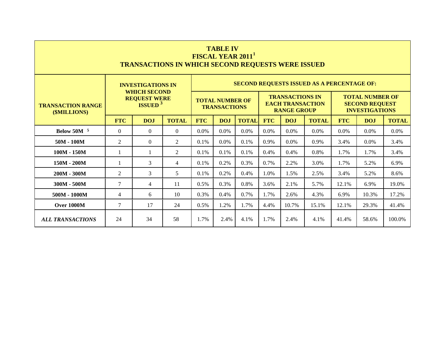|                                          |                                                                                                     | <b>TRANSACTIONS IN WHICH SECOND REQUESTS WERE ISSUED</b>                                                                                                |                | FISCAL YEAR 2011 <sup>1</sup>                                           | <b>TABLE IV</b>                               |      |      |                                                                         |                                                   |       |                                                                          |        |  |  |
|------------------------------------------|-----------------------------------------------------------------------------------------------------|---------------------------------------------------------------------------------------------------------------------------------------------------------|----------------|-------------------------------------------------------------------------|-----------------------------------------------|------|------|-------------------------------------------------------------------------|---------------------------------------------------|-------|--------------------------------------------------------------------------|--------|--|--|
|                                          |                                                                                                     | <b>INVESTIGATIONS IN</b>                                                                                                                                |                |                                                                         |                                               |      |      |                                                                         | <b>SECOND REQUESTS ISSUED AS A PERCENTAGE OF:</b> |       |                                                                          |        |  |  |
| <b>TRANSACTION RANGE</b><br>(\$MILLIONS) |                                                                                                     | <b>WHICH SECOND</b><br><b>REQUEST WERE</b><br><b>ISSUED</b> <sup>3</sup>                                                                                |                |                                                                         | <b>TOTAL NUMBER OF</b><br><b>TRANSACTIONS</b> |      |      | <b>TRANSACTIONS IN</b><br><b>EACH TRANSACTION</b><br><b>RANGE GROUP</b> |                                                   |       | <b>TOTAL NUMBER OF</b><br><b>SECOND REQUEST</b><br><b>INVESTIGATIONS</b> |        |  |  |
|                                          | <b>FTC</b>                                                                                          | <b>FTC</b><br><b>DOJ</b><br><b>TOTAL</b><br><b>TOTAL</b><br><b>FTC</b><br><b>DOJ</b><br><b>TOTAL</b><br><b>FTC</b><br><b>TOTAL</b><br><b>DOJ</b><br>DOJ |                |                                                                         |                                               |      |      |                                                                         |                                                   |       |                                                                          |        |  |  |
| Below $50M5$                             | $\Omega$                                                                                            | $\Omega$                                                                                                                                                | $\overline{0}$ | 0.0%<br>0.0%<br>0.0%<br>0.0%<br>$0.0\%$<br>0.0%<br>0.0%<br>0.0%<br>0.0% |                                               |      |      |                                                                         |                                                   |       |                                                                          |        |  |  |
| $50M - 100M$                             | 2                                                                                                   | $\Omega$                                                                                                                                                | $\overline{2}$ | 0.1%                                                                    | 0.0%                                          | 0.1% | 0.9% | $0.0\%$                                                                 | 0.9%                                              | 3.4%  | $0.0\%$                                                                  | 3.4%   |  |  |
| $100M - 150M$                            |                                                                                                     |                                                                                                                                                         | $\overline{2}$ | 0.1%                                                                    | 0.1%                                          | 0.1% | 0.4% | 0.4%                                                                    | 0.8%                                              | 1.7%  | 1.7%                                                                     | 3.4%   |  |  |
| 150M - 200M                              |                                                                                                     | 3                                                                                                                                                       | $\overline{4}$ | 0.1%                                                                    | 0.2%                                          | 0.3% | 0.7% | 2.2%                                                                    | 3.0%                                              | 1.7%  | 5.2%                                                                     | 6.9%   |  |  |
| $200M - 300M$                            | 2                                                                                                   | 3                                                                                                                                                       | 5              | 0.1%                                                                    | 0.2%                                          | 0.4% | 1.0% | 1.5%                                                                    | 2.5%                                              | 3.4%  | 5.2%                                                                     | 8.6%   |  |  |
| 300M - 500M                              | $\tau$                                                                                              | $\overline{4}$                                                                                                                                          | 11             | 0.5%                                                                    | 0.3%                                          | 0.8% | 3.6% | 2.1%                                                                    | 5.7%                                              | 12.1% | 6.9%                                                                     | 19.0%  |  |  |
| 500M - 1000M                             | 17.2%<br>0.3%<br>0.4%<br>0.7%<br>1.7%<br>4.3%<br>6.9%<br>10.3%<br>$\overline{4}$<br>6<br>10<br>2.6% |                                                                                                                                                         |                |                                                                         |                                               |      |      |                                                                         |                                                   |       |                                                                          |        |  |  |
| <b>Over 1000M</b>                        | $\tau$<br>17<br>24<br>0.5%<br>1.2%<br>1.7%<br>10.7%<br>15.1%<br>12.1%<br>29.3%<br>4.4%<br>41.4%     |                                                                                                                                                         |                |                                                                         |                                               |      |      |                                                                         |                                                   |       |                                                                          |        |  |  |
| <b>ALL TRANSACTIONS</b>                  | 24                                                                                                  | 34                                                                                                                                                      | 58             | 1.7%                                                                    | 2.4%                                          | 4.1% | 1.7% | 2.4%                                                                    | 4.1%                                              | 41.4% | 58.6%                                                                    | 100.0% |  |  |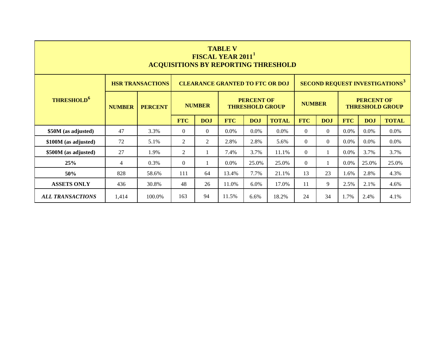|                                                                                                             |                |                         |                |                | <b>TABLE V</b><br>FISCAL YEAR 2011     |                                             | <b>ACQUISITIONS BY REPORTING THRESHOLD</b> |               |                |            |                   |                                                  |
|-------------------------------------------------------------------------------------------------------------|----------------|-------------------------|----------------|----------------|----------------------------------------|---------------------------------------------|--------------------------------------------|---------------|----------------|------------|-------------------|--------------------------------------------------|
|                                                                                                             |                | <b>HSR TRANSACTIONS</b> |                |                | <b>CLEARANCE GRANTED TO FTC OR DOJ</b> |                                             |                                            |               |                |            |                   | <b>SECOND REQUEST INVESTIGATIONS<sup>3</sup></b> |
| <b>THRESHOLD<sup>6</sup></b>                                                                                | <b>NUMBER</b>  | <b>PERCENT</b>          |                | <b>NUMBER</b>  |                                        | <b>PERCENT OF</b><br><b>THRESHOLD GROUP</b> |                                            | <b>NUMBER</b> |                |            | <b>PERCENT OF</b> | <b>THRESHOLD GROUP</b>                           |
|                                                                                                             |                |                         | <b>FTC</b>     | <b>DOJ</b>     | <b>FTC</b>                             | <b>DOJ</b>                                  | <b>TOTAL</b>                               | <b>FTC</b>    | <b>DOJ</b>     | <b>FTC</b> | <b>DOJ</b>        | <b>TOTAL</b>                                     |
| \$50M (as adjusted)                                                                                         | 47             | 3.3%                    | $\theta$       | $\overline{0}$ | $0.0\%$                                | $0.0\%$                                     | $0.0\%$                                    | $\theta$      | $\overline{0}$ | 0.0%       | 0.0%              | 0.0%                                             |
| \$100M (as adjusted)                                                                                        | 72             | 5.1%                    | 2              | 2              | 2.8%                                   | 2.8%                                        | 5.6%                                       | $\Omega$      | $\theta$       | 0.0%       | 0.0%              | $0.0\%$                                          |
| \$500M (as adjusted)                                                                                        | 27             | 1.9%                    | $\overline{2}$ | 1              | 7.4%                                   | 3.7%                                        | 11.1%                                      | $\Omega$      | $\mathbf{1}$   | 0.0%       | 3.7%              | 3.7%                                             |
| 25%                                                                                                         | $\overline{4}$ | $0.3\%$                 | $\Omega$       | 1              | $0.0\%$                                | 25.0%                                       | 25.0%                                      | $\Omega$      | 1              | 0.0%       | 25.0%             | 25.0%                                            |
| 50%                                                                                                         | 828            | 58.6%                   | 111            | 64             | 13.4%                                  | 7.7%                                        | 21.1%                                      | 13            | 23             | 1.6%       | 2.8%              | 4.3%                                             |
| 9<br>48<br>436<br>30.8%<br>26<br>11.0%<br>6.0%<br>17.0%<br>11<br>2.5%<br>2.1%<br>4.6%<br><b>ASSETS ONLY</b> |                |                         |                |                |                                        |                                             |                                            |               |                |            |                   |                                                  |
| <b>ALL TRANSACTIONS</b>                                                                                     | 1,414          | 100.0%                  | 163            | 94             | 11.5%                                  | 6.6%                                        | 18.2%                                      | 24            | 34             | 1.7%       | 2.4%              | 4.1%                                             |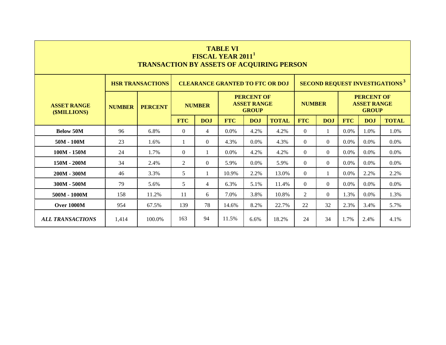| <b>TABLE VI</b><br><b>FISCAL YEAR 2011</b><br><b>TRANSACTION BY ASSETS OF ACQUIRING PERSON</b> |                                                                                                        |                                                                                   |                                                                                                                         |                |                                        |                                                         |       |               |          |      |                                                         |                                                  |  |  |
|------------------------------------------------------------------------------------------------|--------------------------------------------------------------------------------------------------------|-----------------------------------------------------------------------------------|-------------------------------------------------------------------------------------------------------------------------|----------------|----------------------------------------|---------------------------------------------------------|-------|---------------|----------|------|---------------------------------------------------------|--------------------------------------------------|--|--|
|                                                                                                |                                                                                                        | <b>HSR TRANSACTIONS</b>                                                           |                                                                                                                         |                | <b>CLEARANCE GRANTED TO FTC OR DOJ</b> |                                                         |       |               |          |      |                                                         | <b>SECOND REQUEST INVESTIGATIONS<sup>3</sup></b> |  |  |
| <b>ASSET RANGE</b><br>(\$MILLIONS)                                                             | <b>NUMBER</b>                                                                                          | <b>PERCENT</b>                                                                    |                                                                                                                         | <b>NUMBER</b>  |                                        | <b>PERCENT OF</b><br><b>ASSET RANGE</b><br><b>GROUP</b> |       | <b>NUMBER</b> |          |      | <b>PERCENT OF</b><br><b>ASSET RANGE</b><br><b>GROUP</b> |                                                  |  |  |
|                                                                                                |                                                                                                        |                                                                                   | <b>FTC</b><br><b>FTC</b><br><b>DOJ</b><br><b>FTC</b><br><b>TOTAL</b><br><b>FTC</b><br><b>TOTAL</b><br>DOJ<br>DOJ<br>DOJ |                |                                        |                                                         |       |               |          |      |                                                         |                                                  |  |  |
| <b>Below 50M</b>                                                                               | 96                                                                                                     | 6.8%                                                                              | $\Omega$                                                                                                                | 4              | $0.0\%$                                | 4.2%                                                    | 4.2%  | $\Omega$      | 1        | 0.0% | 1.0%                                                    | 1.0%                                             |  |  |
| $50M - 100M$                                                                                   | 23                                                                                                     | 1.6%                                                                              | $\mathbf{1}$                                                                                                            | $\theta$       | 4.3%                                   | $0.0\%$                                                 | 4.3%  | $\Omega$      | $\Omega$ | 0.0% | 0.0%                                                    | 0.0%                                             |  |  |
| $100M - 150M$                                                                                  | 24                                                                                                     | 1.7%                                                                              | $\Omega$                                                                                                                | 1              | 0.0%                                   | 4.2%                                                    | 4.2%  | $\Omega$      | $\Omega$ | 0.0% | 0.0%                                                    | 0.0%                                             |  |  |
| 150M - 200M                                                                                    | 34                                                                                                     | 2.4%                                                                              | $\overline{2}$                                                                                                          | $\Omega$       | 5.9%                                   | $0.0\%$                                                 | 5.9%  | $\theta$      | $\Omega$ | 0.0% | 0.0%                                                    | 0.0%                                             |  |  |
| $200M - 300M$                                                                                  | 46                                                                                                     | 3.3%                                                                              | 5                                                                                                                       | 1              | 10.9%                                  | 2.2%                                                    | 13.0% | $\Omega$      | 1        | 0.0% | 2.2%                                                    | 2.2%                                             |  |  |
| $300M - 500M$                                                                                  | 79                                                                                                     | 5.6%                                                                              | 5                                                                                                                       | $\overline{4}$ | 6.3%                                   | 5.1%                                                    | 11.4% | $\Omega$      | $\Omega$ | 0.0% | 0.0%                                                    | 0.0%                                             |  |  |
| $500M - 1000M$                                                                                 | $\overline{2}$<br>158<br>11.2%<br>11<br>3.8%<br>10.8%<br>$\Omega$<br>1.3%<br>0.0%<br>1.3%<br>6<br>7.0% |                                                                                   |                                                                                                                         |                |                                        |                                                         |       |               |          |      |                                                         |                                                  |  |  |
| Over 1000M                                                                                     | 954                                                                                                    | 67.5%                                                                             | 139                                                                                                                     | 78             | 14.6%                                  | 8.2%                                                    | 22.7% | 22            | 32       | 2.3% | 3.4%                                                    | 5.7%                                             |  |  |
| <b>ALL TRANSACTIONS</b>                                                                        | 1,414                                                                                                  | 163<br>94<br>11.5%<br>24<br>34<br>1.7%<br>100.0%<br>18.2%<br>4.1%<br>6.6%<br>2.4% |                                                                                                                         |                |                                        |                                                         |       |               |          |      |                                                         |                                                  |  |  |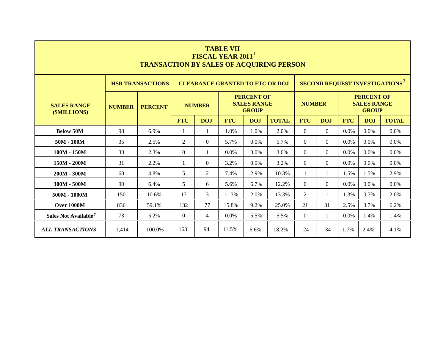|                                    |                                                                                 | <b>TRANSACTION BY SALES OF ACQUIRING PERSON</b>                                   |            |                | <b>TABLE VII</b><br><b>FISCAL YEAR 2011</b> |                                                         |              |                |                |            |                                                         |                                                  |  |
|------------------------------------|---------------------------------------------------------------------------------|-----------------------------------------------------------------------------------|------------|----------------|---------------------------------------------|---------------------------------------------------------|--------------|----------------|----------------|------------|---------------------------------------------------------|--------------------------------------------------|--|
|                                    |                                                                                 | <b>HSR TRANSACTIONS</b>                                                           |            |                | <b>CLEARANCE GRANTED TO FTC OR DOJ</b>      |                                                         |              |                |                |            |                                                         | <b>SECOND REQUEST INVESTIGATIONS<sup>3</sup></b> |  |
| <b>SALES RANGE</b><br>(\$MILLIONS) | <b>NUMBER</b>                                                                   | <b>PERCENT</b>                                                                    |            | <b>NUMBER</b>  |                                             | <b>PERCENT OF</b><br><b>SALES RANGE</b><br><b>GROUP</b> |              | <b>NUMBER</b>  |                |            | <b>PERCENT OF</b><br><b>SALES RANGE</b><br><b>GROUP</b> |                                                  |  |
|                                    |                                                                                 |                                                                                   | <b>FTC</b> | <b>DOJ</b>     | <b>FTC</b>                                  | <b>DOJ</b>                                              | <b>TOTAL</b> | <b>FTC</b>     | <b>DOJ</b>     | <b>FTC</b> | <b>DOJ</b>                                              | <b>TOTAL</b>                                     |  |
| <b>Below 50M</b>                   | 98                                                                              | 6.9%                                                                              | -1         | 1              | 1.0%                                        | 1.0%                                                    | 2.0%         | $\theta$       | $\overline{0}$ | 0.0%       | 0.0%                                                    | 0.0%                                             |  |
| $50M - 100M$                       | 35                                                                              | 2.5%                                                                              | 2          | $\overline{0}$ | 5.7%                                        | $0.0\%$                                                 | 5.7%         | $\Omega$       | $\Omega$       | 0.0%       | $0.0\%$                                                 | 0.0%                                             |  |
| $100M - 150M$                      | 33                                                                              | 2.3%                                                                              | $\Omega$   | 1              | $0.0\%$                                     | 3.0%                                                    | 3.0%         | $\theta$       | $\Omega$       | 0.0%       | 0.0%                                                    | $0.0\%$                                          |  |
| $150M - 200M$                      | 31                                                                              | 2.2%                                                                              | -1         | $\theta$       | 3.2%                                        | $0.0\%$                                                 | 3.2%         | $\Omega$       | $\Omega$       | 0.0%       | $0.0\%$                                                 | $0.0\%$                                          |  |
| $200M - 300M$                      | 68                                                                              | 4.8%                                                                              | 5          | 2              | 7.4%                                        | 2.9%                                                    | 10.3%        | $\mathbf{1}$   | 1              | 1.5%       | 1.5%                                                    | 2.9%                                             |  |
| $300M - 500M$                      | 90                                                                              | 6.4%                                                                              | 5          | 6              | 5.6%                                        | 6.7%                                                    | 12.2%        | $\Omega$       | $\Omega$       | 0.0%       | $0.0\%$                                                 | $0.0\%$                                          |  |
| $500M - 1000M$                     | 150                                                                             | 10.6%                                                                             | 17         | 3              | 11.3%                                       | 2.0%                                                    | 13.3%        | $\overline{2}$ | 1              | 1.3%       | 0.7%                                                    | 2.0%                                             |  |
| <b>Over 1000M</b>                  | 77<br>132<br>21<br>31<br>3.7%<br>836<br>59.1%<br>15.8%<br>9.2%<br>25.0%<br>2.5% |                                                                                   |            |                |                                             |                                                         |              |                |                |            | 6.2%                                                    |                                                  |  |
| Sales Not Available <sup>7</sup>   | 73                                                                              | 5.2%                                                                              | $\Omega$   | $\overline{4}$ | $0.0\%$                                     | 5.5%                                                    | 5.5%         | $\theta$       | 1              | $0.0\%$    | 1.4%                                                    | 1.4%                                             |  |
| <b>ALL TRANSACTIONS</b>            | 1,414                                                                           | 163<br>94<br>11.5%<br>24<br>34<br>1.7%<br>4.1%<br>100.0%<br>6.6%<br>18.2%<br>2.4% |            |                |                                             |                                                         |              |                |                |            |                                                         |                                                  |  |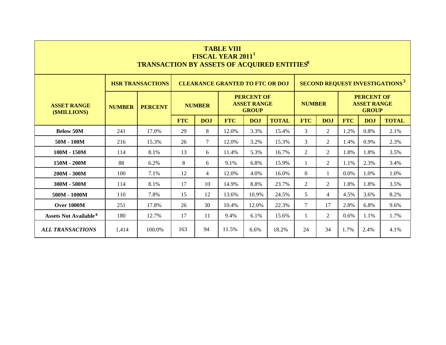|                                         |               | <b>TRANSACTION BY ASSETS OF ACQUIRED ENTITIES®</b>                                |                                                             |                | <b>TABLE VIII</b><br><b>FISCAL YEAR 2011</b> |                                                         |              |                |                |            |                                                         |                                                  |
|-----------------------------------------|---------------|-----------------------------------------------------------------------------------|-------------------------------------------------------------|----------------|----------------------------------------------|---------------------------------------------------------|--------------|----------------|----------------|------------|---------------------------------------------------------|--------------------------------------------------|
|                                         |               | <b>HSR TRANSACTIONS</b>                                                           |                                                             |                | <b>CLEARANCE GRANTED TO FTC OR DOJ</b>       |                                                         |              |                |                |            |                                                         | <b>SECOND REQUEST INVESTIGATIONS<sup>3</sup></b> |
| <b>ASSET RANGE</b><br>(\$MILLIONS)      | <b>NUMBER</b> | <b>PERCENT</b>                                                                    |                                                             | <b>NUMBER</b>  |                                              | <b>PERCENT OF</b><br><b>ASSET RANGE</b><br><b>GROUP</b> |              | <b>NUMBER</b>  |                |            | <b>PERCENT OF</b><br><b>ASSET RANGE</b><br><b>GROUP</b> |                                                  |
|                                         |               |                                                                                   | <b>FTC</b>                                                  | <b>DOJ</b>     | <b>FTC</b>                                   | <b>DOJ</b>                                              | <b>TOTAL</b> | <b>FTC</b>     | <b>DOJ</b>     | <b>FTC</b> | DOJ                                                     | <b>TOTAL</b>                                     |
| <b>Below 50M</b>                        | 241           | 17.0%                                                                             | 29                                                          | 8              | 12.0%                                        | 3.3%                                                    | 15.4%        | 3              | $\overline{2}$ | 1.2%       | 0.8%                                                    | 2.1%                                             |
| $50M - 100M$                            | 216           | 15.3%                                                                             | 26                                                          | $\tau$         | 12.0%                                        | 3.2%                                                    | 15.3%        | 3              | $\overline{2}$ | 1.4%       | 0.9%                                                    | 2.3%                                             |
| $100M - 150M$                           | 114           | 8.1%                                                                              | 13                                                          | 6              | 11.4%                                        | 5.3%                                                    | 16.7%        | $\overline{2}$ | $\overline{2}$ | 1.8%       | 1.8%                                                    | 3.5%                                             |
| $150M - 200M$                           | 88            | 6.2%                                                                              | 8                                                           | 6              | 9.1%                                         | 6.8%                                                    | 15.9%        | 1              | $\overline{2}$ | 1.1%       | 2.3%                                                    | 3.4%                                             |
| $200M - 300M$                           | 100           | 7.1%                                                                              | 12                                                          | $\overline{4}$ | 12.0%                                        | 4.0%                                                    | 16.0%        | $\Omega$       | 1              | 0.0%       | 1.0%                                                    | 1.0%                                             |
| $300M - 500M$                           | 114           | 8.1%                                                                              | 17                                                          | 10             | 14.9%                                        | 8.8%                                                    | 23.7%        | $\overline{2}$ | 2              | 1.8%       | 1.8%                                                    | 3.5%                                             |
| $500M - 1000M$                          | 110           | 7.8%                                                                              | 15                                                          | 12             | 13.6%                                        | 10.9%                                                   | 24.5%        | 5              | $\overline{4}$ | 4.5%       | 3.6%                                                    | 8.2%                                             |
| <b>Over 1000M</b>                       | 251           | 17.8%                                                                             | $\tau$<br>30<br>22.3%<br>2.8%<br>26<br>10.4%<br>12.0%<br>17 |                |                                              |                                                         |              |                |                |            | 6.8%                                                    | 9.6%                                             |
| <b>Assets Not Available<sup>8</sup></b> | 180           | 12.7%                                                                             | 17                                                          | 11             | 9.4%                                         | 6.1%                                                    | 15.6%        | $\mathbf{1}$   | 2              | 0.6%       | 1.1%                                                    | 1.7%                                             |
| <b>ALL TRANSACTIONS</b>                 | 1,414         | 163<br>94<br>11.5%<br>18.2%<br>24<br>34<br>1.7%<br>100.0%<br>2.4%<br>4.1%<br>6.6% |                                                             |                |                                              |                                                         |              |                |                |            |                                                         |                                                  |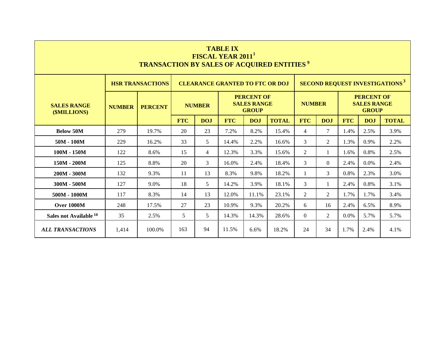| <b>TABLE IX</b><br><b>FISCAL YEAR 2011</b><br><b>TRANSACTION BY SALES OF ACQUIRED ENTITIES<sup>9</sup></b>    |               |                |            |                                                                          |            |            |              |                |                |                                                         |      |              |  |  |  |
|---------------------------------------------------------------------------------------------------------------|---------------|----------------|------------|--------------------------------------------------------------------------|------------|------------|--------------|----------------|----------------|---------------------------------------------------------|------|--------------|--|--|--|
| <b>HSR TRANSACTIONS</b><br><b>CLEARANCE GRANTED TO FTC OR DOJ</b>                                             |               |                |            |                                                                          |            |            |              |                |                | <b>SECOND REQUEST INVESTIGATIONS<sup>3</sup></b>        |      |              |  |  |  |
| <b>SALES RANGE</b><br>(\$MILLIONS)                                                                            | <b>NUMBER</b> | <b>PERCENT</b> |            | <b>PERCENT OF</b><br><b>SALES RANGE</b><br><b>NUMBER</b><br><b>GROUP</b> |            |            |              |                | <b>NUMBER</b>  | <b>PERCENT OF</b><br><b>SALES RANGE</b><br><b>GROUP</b> |      |              |  |  |  |
|                                                                                                               |               |                | <b>FTC</b> | <b>DOJ</b>                                                               | <b>FTC</b> | <b>DOJ</b> | <b>TOTAL</b> | <b>FTC</b>     | <b>DOJ</b>     | <b>FTC</b>                                              | DOJ  | <b>TOTAL</b> |  |  |  |
| <b>Below 50M</b>                                                                                              | 279           | 19.7%          | 20         | 23                                                                       | 7.2%       | 8.2%       | 15.4%        | $\overline{4}$ | 7              | 1.4%                                                    | 2.5% | 3.9%         |  |  |  |
| $50M - 100M$                                                                                                  | 229           | 16.2%          | 33         | 5                                                                        | 14.4%      | 2.2%       | 16.6%        | $\mathfrak{Z}$ | $\overline{2}$ | 1.3%                                                    | 0.9% | 2.2%         |  |  |  |
| $100M - 150M$                                                                                                 | 122           | 8.6%           | 15         | $\overline{4}$                                                           | 12.3%      | 3.3%       | 15.6%        | $\overline{2}$ | $\mathbf{1}$   | 1.6%                                                    | 0.8% | 2.5%         |  |  |  |
| 150M - 200M                                                                                                   | 125           | 8.8%           | 20         | 3                                                                        | 16.0%      | 2.4%       | 18.4%        | $\mathfrak{Z}$ | $\Omega$       | 2.4%                                                    | 0.0% | 2.4%         |  |  |  |
| $200M - 300M$                                                                                                 | 132           | 9.3%           | 11         | 13                                                                       | 8.3%       | 9.8%       | 18.2%        | 1              | 3              | 0.8%                                                    | 2.3% | 3.0%         |  |  |  |
| $300M - 500M$                                                                                                 | 127           | 9.0%           | 18         | 5                                                                        | 14.2%      | 3.9%       | 18.1%        | 3              | $\mathbf{1}$   | 2.4%                                                    | 0.8% | 3.1%         |  |  |  |
| $500M - 1000M$                                                                                                | 117           | 8.3%           | 14         | 13                                                                       | 12.0%      | 11.1%      | 23.1%        | $\overline{2}$ | $\overline{2}$ | 1.7%                                                    | 1.7% | 3.4%         |  |  |  |
| <b>Over 1000M</b>                                                                                             | 248           | 17.5%          | 27         | 23                                                                       | 10.9%      | 9.3%       | 20.2%        | 6              | 16             | 2.4%                                                    | 6.5% | 8.9%         |  |  |  |
| Sales not Available 10                                                                                        | 35            | 2.5%           | 5          | 5                                                                        | 14.3%      | 14.3%      | $\theta$     | 2              | 0.0%           | 5.7%                                                    | 5.7% |              |  |  |  |
| 163<br>94<br>11.5%<br><b>ALL TRANSACTIONS</b><br>18.2%<br>24<br>34<br>1.7%<br>1,414<br>100.0%<br>6.6%<br>2.4% |               |                |            |                                                                          |            |            |              |                |                | 4.1%                                                    |      |              |  |  |  |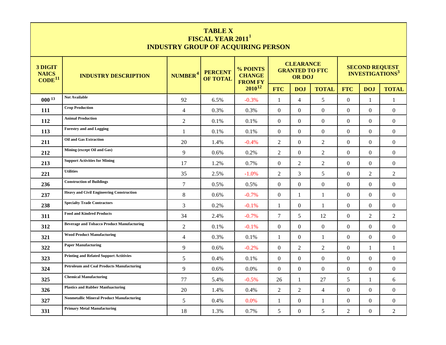|                                               | <b>TABLE X</b><br>FISCAL YEAR 2011 <sup>1</sup><br><b>INDUSTRY GROUP OF ACQUIRING PERSON</b> |                     |                                   |                                             |                  |                                                            |                  |                  |                                                            |                  |  |  |  |
|-----------------------------------------------|----------------------------------------------------------------------------------------------|---------------------|-----------------------------------|---------------------------------------------|------------------|------------------------------------------------------------|------------------|------------------|------------------------------------------------------------|------------------|--|--|--|
| 3 DIGIT<br><b>NAICS</b><br>CODE <sup>11</sup> | <b>INDUSTRY DESCRIPTION</b>                                                                  | NUMBER <sup>4</sup> | <b>PERCENT</b><br><b>OF TOTAL</b> | % POINTS<br><b>CHANGE</b><br><b>FROM FY</b> |                  | <b>CLEARANCE</b><br><b>GRANTED TO FTC</b><br><b>OR DOJ</b> |                  |                  | <b>SECOND REQUEST</b><br><b>INVESTIGATIONS<sup>3</sup></b> |                  |  |  |  |
|                                               |                                                                                              |                     |                                   | $2010^{12}$                                 | <b>FTC</b>       | <b>DOJ</b>                                                 | <b>TOTAL</b>     | <b>FTC</b>       | <b>DOJ</b>                                                 | <b>TOTAL</b>     |  |  |  |
| 00013                                         | <b>Not Available</b>                                                                         | 92                  | 6.5%                              | $-0.3%$                                     | $\mathbf{1}$     | $\overline{4}$                                             | 5                | $\Omega$         | $\mathbf{1}$                                               | $\mathbf{1}$     |  |  |  |
| 111                                           | <b>Crop Production</b>                                                                       | $\overline{4}$      | 0.3%                              | 0.3%                                        | $\overline{0}$   | $\boldsymbol{0}$                                           | $\overline{0}$   | $\overline{0}$   | $\overline{0}$                                             | $\overline{0}$   |  |  |  |
| 112                                           | <b>Animal Production</b>                                                                     | $\overline{2}$      | 0.1%                              | 0.1%                                        | $\mathbf{0}$     | $\mathbf{0}$                                               | $\boldsymbol{0}$ | $\overline{0}$   | $\boldsymbol{0}$                                           | $\mathbf{0}$     |  |  |  |
| 113                                           | <b>Forestry and and Logging</b>                                                              | 1                   | 0.1%                              | 0.1%                                        | $\Omega$         | $\Omega$                                                   | $\overline{0}$   | $\Omega$         | $\Omega$                                                   | $\mathbf{0}$     |  |  |  |
| 211                                           | <b>Oil and Gas Extraction</b>                                                                | 20                  | 1.4%                              | $-0.4%$                                     | $\overline{2}$   | $\mathbf{0}$                                               | 2                | $\boldsymbol{0}$ | $\overline{0}$                                             | $\overline{0}$   |  |  |  |
| 212                                           | Mining (except Oil and Gas)                                                                  | 9                   | 0.6%                              | 0.2%                                        | $\mathbf{2}$     | $\mathbf{0}$                                               | $\overline{2}$   | $\overline{0}$   | $\overline{0}$                                             | $\mathbf{0}$     |  |  |  |
| 213                                           | <b>Support Activities for Mining</b>                                                         | 17                  | 1.2%                              | 0.7%                                        | $\boldsymbol{0}$ | $\overline{2}$                                             | $\overline{2}$   | $\overline{0}$   | $\boldsymbol{0}$                                           | $\boldsymbol{0}$ |  |  |  |
| 221                                           | <b>Utilities</b>                                                                             | 35                  | 2.5%                              | $-1.0%$                                     | $\mathbf{2}$     | 3                                                          | $5\overline{)}$  | $\overline{0}$   | $\overline{2}$                                             | $\overline{2}$   |  |  |  |
| 236                                           | <b>Construction of Buildings</b>                                                             | $\overline{7}$      | 0.5%                              | 0.5%                                        | $\boldsymbol{0}$ | $\mathbf{0}$                                               | $\overline{0}$   | $\overline{0}$   | $\overline{0}$                                             | $\mathbf{0}$     |  |  |  |
| 237                                           | <b>Heavy and Civil Engineering Construction</b>                                              | 8                   | 0.6%                              | $-0.7\%$                                    | $\Omega$         | 1                                                          | 1                | $\Omega$         | $\Omega$                                                   | $\mathbf{0}$     |  |  |  |
| 238                                           | <b>Specialty Trade Contractors</b>                                                           | 3                   | 0.2%                              | $-0.1%$                                     | 1                | $\mathbf{0}$                                               | $\mathbf{1}$     | $\overline{0}$   | $\overline{0}$                                             | $\overline{0}$   |  |  |  |
| 311                                           | <b>Food and Kindred Products</b>                                                             | 34                  | 2.4%                              | $-0.7%$                                     | $\tau$           | 5                                                          | 12               | $\overline{0}$   | $\overline{2}$                                             | $\overline{2}$   |  |  |  |
| 312                                           | <b>Beverage and Tobacco Product Manufacturing</b>                                            | $\overline{2}$      | $0.1\%$                           | $-0.1\%$                                    | $\Omega$         | $\Omega$                                                   | $\theta$         | $\Omega$         | $\Omega$                                                   | $\theta$         |  |  |  |
| 321                                           | <b>Wood Product Manufacturing</b>                                                            | $\overline{4}$      | 0.3%                              | 0.1%                                        | 1                | $\Omega$                                                   | $\mathbf{1}$     | $\Omega$         | $\Omega$                                                   | $\Omega$         |  |  |  |
| 322                                           | <b>Paper Manufacturing</b>                                                                   | 9                   | 0.6%                              | $-0.2%$                                     | $\Omega$         | 2                                                          | $\overline{2}$   | $\Omega$         | 1                                                          | 1                |  |  |  |
| 323                                           | <b>Printing and Related Support Actitivies</b>                                               | 5                   | 0.4%                              | 0.1%                                        | $\Omega$         | $\Omega$                                                   | $\theta$         | $\Omega$         | $\Omega$                                                   | $\boldsymbol{0}$ |  |  |  |
| 324                                           | <b>Petroleum and Coal Products Manufacturing</b>                                             | 9                   | 0.6%                              | 0.0%                                        | $\Omega$         | $\Omega$                                                   | $\theta$         | $\Omega$         | $\Omega$                                                   | $\Omega$         |  |  |  |
| 325                                           | <b>Chemical Manufacturing</b>                                                                | 77                  | 5.4%                              | $-0.5%$                                     | 26               | 1                                                          | 27               | 5                | 1                                                          | 6                |  |  |  |
| 326                                           | <b>Plastics and Rubber Manfuacturing</b>                                                     | 20                  | 1.4%                              | 0.4%                                        | $\mathbf{2}$     | $\mathfrak{2}$                                             | $\overline{4}$   | $\boldsymbol{0}$ | $\Omega$                                                   | $\boldsymbol{0}$ |  |  |  |
| 327                                           | <b>Nonmetallic Mineral Product Manufacturing</b>                                             | 5                   | 0.4%                              | 0.0%                                        | 1                | $\theta$                                                   | $\mathbf{1}$     | $\Omega$         | $\theta$                                                   | $\boldsymbol{0}$ |  |  |  |
| 331                                           | <b>Primary Metal Manufacturing</b>                                                           | 18                  | 1.3%                              | 0.7%                                        | 5                | $\boldsymbol{0}$                                           | 5                | $\overline{2}$   | $\Omega$                                                   | $\overline{2}$   |  |  |  |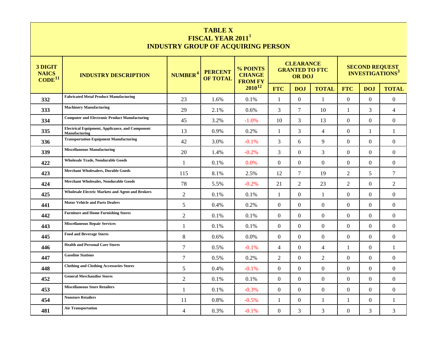| <b>TABLE X</b>                            |
|-------------------------------------------|
| FISCAL YEAR 2011 <sup>1</sup>             |
| <b>INDUSTRY GROUP OF ACQUIRING PERSON</b> |

| 3 DIGIT<br><b>NAICS</b><br>$\text{CODE}^{11}$ | <b>INDUSTRY DESCRIPTION</b>                                             | NUMBER <sup>4</sup> | <b>PERCENT</b><br><b>OF TOTAL</b> | % POINTS<br><b>CHANGE</b><br><b>FROM FY</b> |                | <b>CLEARANCE</b><br><b>GRANTED TO FTC</b><br><b>OR DOJ</b> |                | <b>SECOND REQUEST<br/>INVESTIGATIONS<sup>3</sup></b> |                  |                  |  |
|-----------------------------------------------|-------------------------------------------------------------------------|---------------------|-----------------------------------|---------------------------------------------|----------------|------------------------------------------------------------|----------------|------------------------------------------------------|------------------|------------------|--|
|                                               |                                                                         |                     |                                   | $2010^{12}$                                 | <b>FTC</b>     | <b>DOJ</b>                                                 | <b>TOTAL</b>   | <b>FTC</b>                                           | <b>DOJ</b>       | <b>TOTAL</b>     |  |
| 332                                           | <b>Fabricated Metal Product Manufacturing</b>                           | 23                  | 1.6%                              | 0.1%                                        | 1              | $\mathbf{0}$                                               | 1              | $\overline{0}$                                       | $\mathbf{0}$     | $\boldsymbol{0}$ |  |
| 333                                           | <b>Machinery Manufacturing</b>                                          | 29                  | 2.1%                              | 0.6%                                        | 3              | 7                                                          | 10             | $\mathbf{1}$                                         | 3                | $\overline{4}$   |  |
| 334                                           | <b>Computer and Electronic Product Manufacturing</b>                    | 45                  | 3.2%                              | $-1.0%$                                     | 10             | 3                                                          | 13             | $\overline{0}$                                       | $\boldsymbol{0}$ | $\overline{0}$   |  |
| 335                                           | <b>Electrical Equipment, Applicance, and Component</b><br>Manufacturing | 13                  | 0.9%                              | 0.2%                                        | -1             | 3                                                          | $\overline{4}$ | $\boldsymbol{0}$                                     | 1                | $\mathbf{1}$     |  |
| 336                                           | <b>Transportation Equipment Manufacturing</b>                           | 42                  | 3.0%                              | $-0.1%$                                     | 3              | 6                                                          | 9              | $\overline{0}$                                       | $\boldsymbol{0}$ | $\overline{0}$   |  |
| 339                                           | <b>Miscellaneous Manufacturing</b>                                      | 20                  | 1.4%                              | $-0.2%$                                     | 3              | $\Omega$                                                   | 3              | $\overline{0}$                                       | $\boldsymbol{0}$ | $\overline{0}$   |  |
| 422                                           | <b>Wholesale Trade, Nondurable Goods</b>                                | 1                   | 0.1%                              | 0.0%                                        | $\theta$       | $\Omega$                                                   | $\overline{0}$ | $\overline{0}$                                       | $\theta$         | $\overline{0}$   |  |
| 423                                           | <b>Merchant Wholesalers, Durable Goods</b>                              | 115                 | 8.1%                              | 2.5%                                        | 12             | $\overline{7}$                                             | 19             | $\overline{2}$                                       | 5                | $\tau$           |  |
| 424                                           | <b>Merchant Wholesales, Nondurable Goods</b>                            | 78                  | 5.5%                              | $-0.2%$                                     | 21             | $\overline{2}$                                             | 23             | $\overline{2}$                                       | $\mathbf{0}$     | 2                |  |
| 425                                           | <b>Wholesale Electric Markets and Agent and Brokers</b>                 | $\overline{2}$      | 0.1%                              | 0.1%                                        | -1             | $\Omega$                                                   | $\mathbf{1}$   | $\Omega$                                             | $\theta$         | $\Omega$         |  |
| 441                                           | <b>Motor Vehicle and Parts Dealers</b>                                  | 5                   | 0.4%                              | 0.2%                                        | $\theta$       | $\Omega$                                                   | $\overline{0}$ | $\overline{0}$                                       | $\theta$         | $\overline{0}$   |  |
| 442                                           | <b>Furniture and Home Furnishing Stores</b>                             | $\overline{2}$      | 0.1%                              | 0.1%                                        | $\Omega$       | $\Omega$                                                   | $\overline{0}$ | $\overline{0}$                                       | $\theta$         | $\Omega$         |  |
| 443                                           | <b>Miscellaneous Repair Services</b>                                    | 1                   | 0.1%                              | 0.1%                                        | $\theta$       | $\Omega$                                                   | $\overline{0}$ | $\Omega$                                             | $\theta$         | $\Omega$         |  |
| 445                                           | <b>Food and Beverage Stores</b>                                         | 8                   | 0.6%                              | 0.0%                                        | $\theta$       | $\Omega$                                                   | $\Omega$       | $\Omega$                                             | $\theta$         | $\Omega$         |  |
| 446                                           | <b>Health and Personal Care Stores</b>                                  | $\overline{7}$      | 0.5%                              | $-0.1\%$                                    | $\overline{4}$ | $\Omega$                                                   | $\overline{4}$ | 1                                                    | $\theta$         | 1                |  |
| 447                                           | <b>Gasoline Stations</b>                                                | $\overline{7}$      | 0.5%                              | 0.2%                                        | 2              | $\Omega$                                                   | 2              | $\Omega$                                             | $\Omega$         | $\Omega$         |  |
| 448                                           | <b>Clothing and Clothing Accessories Stores</b>                         | 5                   | 0.4%                              | $-0.1%$                                     | $\theta$       | $\Omega$                                                   | $\overline{0}$ | $\Omega$                                             | $\Omega$         | $\Omega$         |  |
| 452                                           | <b>General Merchandise Stores</b>                                       | 2                   | 0.1%                              | 0.1%                                        | $\theta$       | $\Omega$                                                   | $\overline{0}$ | $\Omega$                                             | $\Omega$         | $\Omega$         |  |
| 453                                           | <b>Miscellaneous Store Retailers</b>                                    | $\mathbf{1}$        | 0.1%                              | $-0.3%$                                     | $\theta$       | $\Omega$                                                   | $\mathbf{0}$   | $\Omega$                                             | $\theta$         | $\Omega$         |  |
| 454                                           | <b>Nonstore Retailers</b>                                               | 11                  | 0.8%                              | $-0.5%$                                     | 1              | $\mathbf{0}$                                               | 1              | 1                                                    | $\overline{0}$   | 1                |  |
| 481                                           | <b>Air Transportation</b>                                               | 4                   | 0.3%                              | $-0.1%$                                     | $\theta$       | 3                                                          | 3              | $\mathbf{0}$                                         | 3                | 3                |  |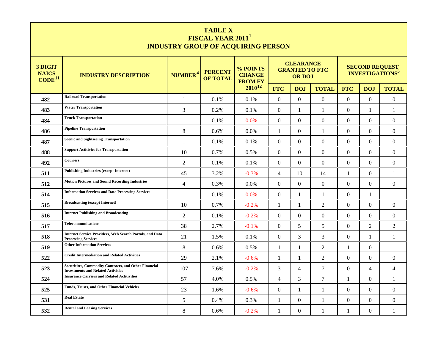| <b>TABLE X</b>                            |
|-------------------------------------------|
| FISCAL YEAR 2011 <sup>1</sup>             |
| <b>INDUSTRY GROUP OF ACQUIRING PERSON</b> |

| 3 DIGIT<br><b>NAICS</b><br>CODE <sup>11</sup> | <b>INDUSTRY DESCRIPTION</b>                                                                               | NUMBER <sup>4</sup> | <b>PERCENT</b><br><b>OF TOTAL</b> | % POINTS<br><b>CHANGE</b><br><b>FROM FY</b> |                | <b>CLEARANCE</b><br><b>GRANTED TO FTC</b><br><b>OR DOJ</b> |                  | <b>SECOND REQUEST<br/>INVESTIGATIONS<sup>3</sup></b> |              |                  |  |
|-----------------------------------------------|-----------------------------------------------------------------------------------------------------------|---------------------|-----------------------------------|---------------------------------------------|----------------|------------------------------------------------------------|------------------|------------------------------------------------------|--------------|------------------|--|
|                                               |                                                                                                           |                     |                                   | $2010^{12}$                                 | <b>FTC</b>     | <b>DOJ</b>                                                 | <b>TOTAL</b>     | <b>FTC</b>                                           | <b>DOJ</b>   | <b>TOTAL</b>     |  |
| 482                                           | <b>Railroad Transportation</b>                                                                            | 1                   | 0.1%                              | 0.1%                                        | $\Omega$       | $\Omega$                                                   | $\Omega$         | $\overline{0}$                                       | $\Omega$     | $\boldsymbol{0}$ |  |
| 483                                           | <b>Water Transportation</b>                                                                               | 3                   | 0.2%                              | 0.1%                                        | $\Omega$       | 1                                                          | $\mathbf{1}$     | $\Omega$                                             | 1            | $\mathbf{1}$     |  |
| 484                                           | <b>Truck Transportation</b>                                                                               | $\mathbf{1}$        | 0.1%                              | 0.0%                                        | $\Omega$       | $\theta$                                                   | $\boldsymbol{0}$ | $\overline{0}$                                       | $\Omega$     | $\Omega$         |  |
| 486                                           | <b>Pipeline Transportation</b>                                                                            | 8                   | 0.6%                              | 0.0%                                        | -1             | $\theta$                                                   | 1                | $\overline{0}$                                       | $\Omega$     | $\overline{0}$   |  |
| 487                                           | <b>Scenic and Sightseeing Transportation</b>                                                              | 1                   | 0.1%                              | 0.1%                                        | $\Omega$       | $\theta$                                                   | $\overline{0}$   | $\boldsymbol{0}$                                     | $\Omega$     | $\Omega$         |  |
| 488                                           | <b>Support Actitivies for Transportation</b>                                                              | 10                  | 0.7%                              | 0.5%                                        | $\Omega$       | $\theta$                                                   | $\overline{0}$   | $\boldsymbol{0}$                                     | $\mathbf{0}$ | $\overline{0}$   |  |
| 492                                           | <b>Couriers</b>                                                                                           | 2                   | 0.1%                              | 0.1%                                        | $\theta$       | $\theta$                                                   | $\overline{0}$   | $\overline{0}$                                       | $\Omega$     | $\Omega$         |  |
| 511                                           | <b>Publishing Industries (except Internet)</b>                                                            | 45                  | 3.2%                              | $-0.3%$                                     | $\overline{4}$ | 10                                                         | 14               | $\mathbf{1}$                                         | $\Omega$     | 1                |  |
| 512                                           | <b>Motion Pictures and Sound Recording Industries</b>                                                     | $\overline{4}$      | 0.3%                              | $0.0\%$                                     | $\Omega$       | $\Omega$                                                   | $\Omega$         | $\Omega$                                             | $\Omega$     | $\theta$         |  |
| 514                                           | <b>Information Services and Data Processing Services</b>                                                  | 1                   | 0.1%                              | 0.0%                                        | $\Omega$       | 1                                                          | 1                | $\Omega$                                             | 1            | 1                |  |
| 515                                           | <b>Broadcasting (except Internet)</b>                                                                     | 10                  | 0.7%                              | $-0.2%$                                     | $\mathbf{1}$   | 1                                                          | 2                | $\Omega$                                             | $\Omega$     | $\Omega$         |  |
| 516                                           | <b>Internet Publishing and Broadcasting</b>                                                               | 2                   | 0.1%                              | $-0.2%$                                     | $\Omega$       | $\theta$                                                   | $\overline{0}$   | $\Omega$                                             | $\Omega$     | $\overline{0}$   |  |
| 517                                           | <b>Telecommunications</b>                                                                                 | 38                  | 2.7%                              | $-0.1\%$                                    | $\Omega$       | 5                                                          | 5                | $\Omega$                                             | 2            | 2                |  |
| 518                                           | <b>Internet Service Providers, Web Search Portals, and Data</b><br><b>Processing Services</b>             | 21                  | 1.5%                              | 0.1%                                        | $\Omega$       | 3                                                          | 3                | $\Omega$                                             | 1            | 1                |  |
| 519                                           | <b>Other Information Services</b>                                                                         | 8                   | 0.6%                              | 0.5%                                        | 1              | 1                                                          | 2                | 1                                                    | $\Omega$     | 1                |  |
| 522                                           | <b>Credit Intermediation and Related Activities</b>                                                       | 29                  | 2.1%                              | $-0.6%$                                     | -1             | 1                                                          | 2                | $\Omega$                                             | $\Omega$     | $\theta$         |  |
| 523                                           | <b>Securitites, Commodity Contracts, and Other Financial</b><br><b>Investments and Related Activities</b> | 107                 | 7.6%                              | $-0.2%$                                     | 3              | 4                                                          | $\tau$           | $\Omega$                                             | 4            | $\overline{4}$   |  |
| 524                                           | <b>Insurance Carriers and Related Actitivities</b>                                                        | 57                  | 4.0%                              | 0.5%                                        | 4              | 3                                                          | 7                | 1                                                    | $\Omega$     | 1                |  |
| 525                                           | <b>Funds, Trusts, and Other Financial Vehicles</b>                                                        | 23                  | 1.6%                              | $-0.6%$                                     | $\Omega$       | 1                                                          | 1                | $\Omega$                                             | $\Omega$     | $\theta$         |  |
| 531                                           | <b>Real Estate</b>                                                                                        | 5                   | 0.4%                              | 0.3%                                        | 1              | $\theta$                                                   | 1                | $\boldsymbol{0}$                                     | $\Omega$     | $\theta$         |  |
| 532                                           | <b>Rental and Leasing Services</b>                                                                        | 8                   | 0.6%                              | $-0.2%$                                     | 1              | $\boldsymbol{0}$                                           | 1                | $\mathbf{1}$                                         | $\Omega$     | 1                |  |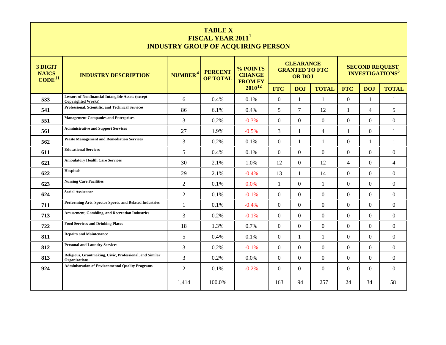| <b>TABLE X</b><br>FISCAL YEAR 2011 <sup>1</sup><br><b>INDUSTRY GROUP OF ACQUIRING PERSON</b> |                                                                                       |                     |                                   |                                             |              |                                                            |                  |                |                                                            |                |  |  |
|----------------------------------------------------------------------------------------------|---------------------------------------------------------------------------------------|---------------------|-----------------------------------|---------------------------------------------|--------------|------------------------------------------------------------|------------------|----------------|------------------------------------------------------------|----------------|--|--|
| 3 DIGIT<br><b>NAICS</b><br>CODE <sup>11</sup>                                                | <b>INDUSTRY DESCRIPTION</b>                                                           | NUMBER <sup>4</sup> | <b>PERCENT</b><br><b>OF TOTAL</b> | % POINTS<br><b>CHANGE</b><br><b>FROM FY</b> |              | <b>CLEARANCE</b><br><b>GRANTED TO FTC</b><br><b>OR DOJ</b> |                  |                | <b>SECOND REQUEST</b><br><b>INVESTIGATIONS<sup>3</sup></b> |                |  |  |
|                                                                                              |                                                                                       |                     |                                   | 2010 <sup>12</sup>                          | <b>FTC</b>   | <b>DOJ</b>                                                 | <b>TOTAL</b>     | <b>FTC</b>     | <b>DOJ</b>                                                 | <b>TOTAL</b>   |  |  |
| 533                                                                                          | <b>Lessors of Nonfinancial Intangible Assets (except</b><br><b>Copyrighted Works)</b> | 6                   | 0.4%                              | 0.1%                                        | $\mathbf{0}$ | 1                                                          | $\mathbf{1}$     | $\overline{0}$ | 1                                                          | 1              |  |  |
| 541                                                                                          | Professional, Scientific, and Technical Services                                      | 86                  | 6.1%                              | 0.4%                                        | 5            | $\overline{7}$                                             | 12               | 1              | $\overline{4}$                                             | 5              |  |  |
| 551                                                                                          | <b>Management Companies and Enterprises</b>                                           | $\overline{3}$      | 0.2%                              | $-0.3%$                                     | $\Omega$     | $\Omega$                                                   | $\overline{0}$   | $\theta$       | $\Omega$                                                   | $\overline{0}$ |  |  |
| 561                                                                                          | <b>Administrative and Support Services</b>                                            | 27                  | 1.9%                              | $-0.5%$                                     | 3            | 1                                                          | $\overline{4}$   | 1              | $\Omega$                                                   | 1              |  |  |
| 562                                                                                          | <b>Waste Management and Remediation Services</b>                                      | $\overline{3}$      | 0.2%                              | 0.1%                                        | $\Omega$     | 1                                                          | $\mathbf{1}$     | $\Omega$       | $\mathbf{1}$                                               | 1              |  |  |
| 611                                                                                          | <b>Educational Services</b>                                                           | 5                   | 0.4%                              | 0.1%                                        | $\Omega$     | $\Omega$                                                   | $\Omega$         | $\Omega$       | $\Omega$                                                   | $\Omega$       |  |  |
| 621                                                                                          | <b>Ambulatory Health Care Services</b>                                                | 30                  | 2.1%                              | 1.0%                                        | 12           | $\Omega$                                                   | 12               | 4              | $\Omega$                                                   | $\overline{4}$ |  |  |
| 622                                                                                          | Hospitals                                                                             | 29                  | 2.1%                              | $-0.4%$                                     | 13           | $\mathbf{1}$                                               | 14               | $\Omega$       | $\Omega$                                                   | $\Omega$       |  |  |
| 623                                                                                          | <b>Nursing Care Facilities</b>                                                        | $\overline{2}$      | 0.1%                              | 0.0%                                        | $\mathbf{1}$ | $\mathbf{0}$                                               | $\mathbf{1}$     | $\overline{0}$ | $\Omega$                                                   | $\overline{0}$ |  |  |
| 624                                                                                          | <b>Social Assistance</b>                                                              | $\overline{2}$      | 0.1%                              | $-0.1%$                                     | $\mathbf{0}$ | $\Omega$                                                   | $\overline{0}$   | $\overline{0}$ | $\Omega$                                                   | $\overline{0}$ |  |  |
| 711                                                                                          | Performing Arts, Spector Sports, and Related Industries                               | $\mathbf{1}$        | 0.1%                              | $-0.4%$                                     | $\Omega$     | $\Omega$                                                   | $\overline{0}$   | $\Omega$       | $\Omega$                                                   | $\overline{0}$ |  |  |
| 713                                                                                          | <b>Amusement, Gambling, and Recreation Industries</b>                                 | 3                   | 0.2%                              | $-0.1%$                                     | $\Omega$     | $\overline{0}$                                             | $\overline{0}$   | $\Omega$       | $\Omega$                                                   | $\overline{0}$ |  |  |
| 722                                                                                          | <b>Food Services and Drinking Places</b>                                              | 18                  | 1.3%                              | 0.7%                                        | $\Omega$     | $\overline{0}$                                             | $\boldsymbol{0}$ | $\Omega$       | $\Omega$                                                   | $\overline{0}$ |  |  |
| 811                                                                                          | <b>Repairs and Maintenance</b>                                                        | 5                   | 0.4%                              | 0.1%                                        | $\Omega$     | $\mathbf{1}$                                               | 1                | $\Omega$       | $\Omega$                                                   | $\overline{0}$ |  |  |
| 812                                                                                          | <b>Personal and Laundry Services</b>                                                  | 3                   | 0.2%                              | $-0.1%$                                     | $\Omega$     | $\Omega$                                                   | $\mathbf{0}$     | $\overline{0}$ | $\Omega$                                                   | $\overline{0}$ |  |  |
| 813                                                                                          | Religious, Grantmaking, Civic, Professional, and Similar<br><b>Organizations</b>      | 3                   | 0.2%                              | 0.0%                                        | $\theta$     | $\mathbf{0}$                                               | $\boldsymbol{0}$ | $\Omega$       | $\Omega$                                                   | $\overline{0}$ |  |  |
| 924                                                                                          | <b>Administration of Environmental Quality Programs</b>                               | $\mathbf{2}$        | 0.1%                              | $-0.2%$                                     | $\Omega$     | $\Omega$                                                   | $\overline{0}$   | $\Omega$       | $\theta$                                                   | $\theta$       |  |  |
|                                                                                              |                                                                                       | 1,414               | 100.0%                            |                                             | 163          | 94                                                         | 257              | 24             | 34                                                         | 58             |  |  |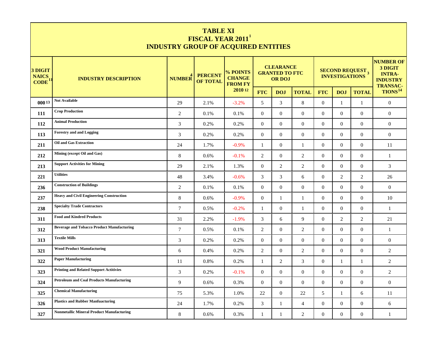| <b>TABLE XI</b><br><b>FISCAL YEAR 2011</b><br><b>INDUSTRY GROUP OF ACQUIRED ENTITIES</b> |                                                   |                |                                   |                                             |                                                            |                |                |                  |                                            |                                                                                    |                     |  |
|------------------------------------------------------------------------------------------|---------------------------------------------------|----------------|-----------------------------------|---------------------------------------------|------------------------------------------------------------|----------------|----------------|------------------|--------------------------------------------|------------------------------------------------------------------------------------|---------------------|--|
| 3 DIGIT<br><b>NAICS</b><br><b>CODE</b>                                                   | <b>INDUSTRY DESCRIPTION</b>                       | <b>NUMBER</b>  | <b>PERCENT</b><br><b>OF TOTAL</b> | % POINTS<br><b>CHANGE</b><br><b>FROM FY</b> | <b>CLEARANCE</b><br><b>GRANTED TO FTC</b><br><b>OR DOJ</b> |                |                |                  | <b>SECOND REQUEST 3<br/>INVESTIGATIONS</b> | <b>NUMBER OF</b><br>3 DIGIT<br><b>INTRA-</b><br><b>INDUSTRY</b><br><b>TRANSAC-</b> |                     |  |
|                                                                                          |                                                   |                |                                   | 2010 12                                     | <b>FTC</b>                                                 | <b>DOJ</b>     | <b>TOTAL</b>   | <b>FTC</b>       | <b>DOJ</b>                                 | <b>TOTAL</b>                                                                       | TIONS <sup>14</sup> |  |
| $000^{13}$                                                                               | <b>Not Available</b>                              | 29             | 2.1%                              | $-3.2%$                                     | 5                                                          | 3              | $8\,$          | $\overline{0}$   | $\mathbf{1}$                               | 1                                                                                  | $\mathbf{0}$        |  |
| 111                                                                                      | <b>Crop Production</b>                            | 2              | 0.1%                              | 0.1%                                        | $\mathbf{0}$                                               | $\Omega$       | $\mathbf{0}$   | $\overline{0}$   | $\overline{0}$                             | $\overline{0}$                                                                     | $\overline{0}$      |  |
| 112                                                                                      | <b>Animal Production</b>                          | 3              | 0.2%                              | 0.2%                                        | $\mathbf{0}$                                               | $\Omega$       | $\mathbf{0}$   | $\overline{0}$   | $\Omega$                                   | $\overline{0}$                                                                     | $\mathbf{0}$        |  |
| 113                                                                                      | <b>Forestry and and Logging</b>                   | 3              | 0.2%                              | 0.2%                                        | $\mathbf{0}$                                               | $\overline{0}$ | $\mathbf{0}$   | $\overline{0}$   | $\overline{0}$                             | $\overline{0}$                                                                     | $\mathbf{0}$        |  |
| 211                                                                                      | Oil and Gas Extraction                            | 24             | 1.7%                              | $-0.9%$                                     | 1                                                          | $\overline{0}$ | 1              | $\overline{0}$   | $\Omega$                                   | $\mathbf{0}$                                                                       | 11                  |  |
| 212                                                                                      | Mining (except Oil and Gas)                       | 8              | 0.6%                              | $-0.1%$                                     | 2                                                          | $\Omega$       | 2              | $\overline{0}$   | $\overline{0}$                             | $\overline{0}$                                                                     | $\mathbf{1}$        |  |
| 213                                                                                      | <b>Support Activities for Mining</b>              | 29             | 2.1%                              | 1.3%                                        | $\mathbf{0}$                                               | 2              | 2              | $\overline{0}$   | $\Omega$                                   | $\overline{0}$                                                                     | 3                   |  |
| 221                                                                                      | <b>Utilities</b>                                  | 48             | 3.4%                              | $-0.6%$                                     | 3                                                          | 3              | 6              | $\overline{0}$   | 2                                          | 2                                                                                  | 26                  |  |
| 236                                                                                      | <b>Construction of Buildings</b>                  | 2              | 0.1%                              | 0.1%                                        | $\mathbf{0}$                                               | $\Omega$       | $\mathbf{0}$   | $\overline{0}$   | $\Omega$                                   | $\overline{0}$                                                                     | $\mathbf{0}$        |  |
| 237                                                                                      | <b>Heavy and Civil Engineering Construction</b>   | 8              | 0.6%                              | $-0.9%$                                     | $\overline{0}$                                             | -1             | 1              | $\overline{0}$   | $\Omega$                                   | $\overline{0}$                                                                     | 10                  |  |
| 238                                                                                      | <b>Specialty Trade Contractors</b>                | $\overline{7}$ | 0.5%                              | $-0.2%$                                     | $\mathbf{1}$                                               | $\overline{0}$ | 1              | $\overline{0}$   | $\Omega$                                   | $\overline{0}$                                                                     | $\mathbf{1}$        |  |
| 311                                                                                      | <b>Food and Kindred Products</b>                  | 31             | 2.2%                              | $-1.9%$                                     | 3                                                          | 6              | 9              | $\overline{0}$   | 2                                          | 2                                                                                  | 21                  |  |
| 312                                                                                      | <b>Beverage and Tobacco Product Manufacturing</b> | $\overline{7}$ | 0.5%                              | 0.1%                                        | 2                                                          | $\Omega$       | 2              | $\overline{0}$   | $\Omega$                                   | $\overline{0}$                                                                     | 1                   |  |
| 313                                                                                      | <b>Textile Mills</b>                              | 3              | 0.2%                              | 0.2%                                        | $\mathbf{0}$                                               | $\Omega$       | $\mathbf{0}$   | $\overline{0}$   | $\Omega$                                   | $\overline{0}$                                                                     | $\boldsymbol{0}$    |  |
| 321                                                                                      | <b>Wood Product Manufacturing</b>                 | 6              | 0.4%                              | 0.2%                                        | 2                                                          | $\overline{0}$ | 2              | $\overline{0}$   | $\Omega$                                   | $\overline{0}$                                                                     | $\overline{c}$      |  |
| 322                                                                                      | <b>Paper Manufacturing</b>                        | 11             | 0.8%                              | 0.2%                                        | 1                                                          | $\overline{c}$ | 3              | $\mathbf{0}$     | 1                                          | 1                                                                                  | $\overline{c}$      |  |
| 323                                                                                      | <b>Printing and Related Support Actitivies</b>    | 3              | 0.2%                              | $-0.1%$                                     | $\mathbf{0}$                                               | $\overline{0}$ | $\mathbf{0}$   | $\mathbf{0}$     | $\boldsymbol{0}$                           | $\mathbf{0}$                                                                       | $\sqrt{2}$          |  |
| 324                                                                                      | <b>Petroleum and Coal Products Manufacturing</b>  | 9              | 0.6%                              | 0.3%                                        | $\overline{0}$                                             | $\overline{0}$ | $\mathbf{0}$   | $\mathbf{0}$     | $\overline{0}$                             | $\overline{0}$                                                                     | $\overline{0}$      |  |
| 325                                                                                      | <b>Chemical Manufacturing</b>                     | 75             | 5.3%                              | 1.0%                                        | 22                                                         | $\overline{0}$ | 22             | $\mathfrak{S}$   | $\mathbf{1}$                               | 6                                                                                  | 11                  |  |
| 326                                                                                      | <b>Plastics and Rubber Manfuacturing</b>          | 24             | 1.7%                              | 0.2%                                        | $\mathfrak{Z}$                                             | 1              | $\overline{4}$ | $\mathbf{0}$     | $\overline{0}$                             | $\overline{0}$                                                                     | 6                   |  |
| 327                                                                                      | <b>Nonmetallic Mineral Product Manufacturing</b>  | 8              | 0.6%                              | 0.3%                                        | $\mathbf{1}$                                               | 1              | $\overline{c}$ | $\boldsymbol{0}$ | $\boldsymbol{0}$                           | $\boldsymbol{0}$                                                                   | $\mathbf{1}$        |  |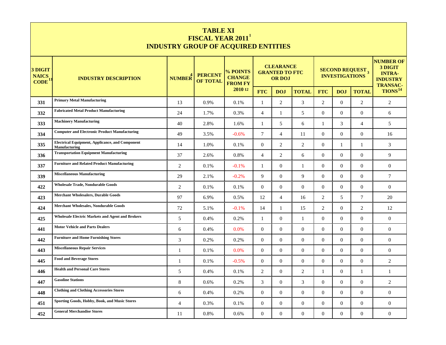|                                              | <b>TABLE XI</b><br><b>FISCAL YEAR 2011</b><br><b>INDUSTRY GROUP OF ACQUIRED ENTITIES</b> |                     |                                   |                                             |                                                            |                  |                  |                  |                                                             |                                                                                    |                     |  |  |
|----------------------------------------------|------------------------------------------------------------------------------------------|---------------------|-----------------------------------|---------------------------------------------|------------------------------------------------------------|------------------|------------------|------------------|-------------------------------------------------------------|------------------------------------------------------------------------------------|---------------------|--|--|
| 3 DIGIT<br><b>NAICS</b><br>CODE <sup>1</sup> | <b>INDUSTRY DESCRIPTION</b>                                                              | NUMBER <sup>4</sup> | <b>PERCENT</b><br><b>OF TOTAL</b> | % POINTS<br><b>CHANGE</b><br><b>FROM FY</b> | <b>CLEARANCE</b><br><b>GRANTED TO FTC</b><br><b>OR DOJ</b> |                  |                  |                  | <b>SECOND REQUEST</b> <sub>3</sub><br><b>INVESTIGATIONS</b> | <b>NUMBER OF</b><br>3 DIGIT<br><b>INTRA-</b><br><b>INDUSTRY</b><br><b>TRANSAC-</b> |                     |  |  |
|                                              |                                                                                          |                     |                                   | 2010 12                                     | <b>FTC</b>                                                 | <b>DOJ</b>       | <b>TOTAL</b>     | <b>FTC</b>       | <b>DOJ</b>                                                  | <b>TOTAL</b>                                                                       | TIONS <sup>14</sup> |  |  |
| 331                                          | <b>Primary Metal Manufacturing</b>                                                       | 13                  | 0.9%                              | 0.1%                                        | $\mathbf{1}$                                               | $\overline{c}$   | $\mathfrak{Z}$   | $\overline{2}$   | $\Omega$                                                    | $\overline{2}$                                                                     | $\sqrt{2}$          |  |  |
| 332                                          | <b>Fabricated Metal Product Manufacturing</b>                                            | 24                  | 1.7%                              | 0.3%                                        | $\overline{4}$                                             | 1                | 5                | $\overline{0}$   | $\Omega$                                                    | $\mathbf{0}$                                                                       | 6                   |  |  |
| 333                                          | <b>Machinery Manufacturing</b>                                                           | 40                  | 2.8%                              | 1.6%                                        | $\mathbf{1}$                                               | 5                | 6                | 1                | 3                                                           | $\overline{4}$                                                                     | 5                   |  |  |
| 334                                          | <b>Computer and Electronic Product Manufacturing</b>                                     | 49                  | 3.5%                              | $-0.6%$                                     | 7                                                          | $\overline{4}$   | 11               | $\mathbf{0}$     | $\Omega$                                                    | $\mathbf{0}$                                                                       | 16                  |  |  |
| 335                                          | <b>Electrical Equipment, Applicance, and Component</b><br>Manufacturing                  | 14                  | 1.0%                              | 0.1%                                        | $\mathbf{0}$                                               | 2                | $\overline{c}$   | $\overline{0}$   |                                                             | 1                                                                                  | 3                   |  |  |
| 336                                          | <b>Transportation Equipment Manufacturing</b>                                            | 37                  | 2.6%                              | 0.8%                                        | $\overline{4}$                                             | 2                | 6                | $\overline{0}$   | $\Omega$                                                    | $\Omega$                                                                           | 9                   |  |  |
| 337                                          | <b>Furniture and Related Product Manufacturing</b>                                       | 2                   | 0.1%                              | $-0.1%$                                     | 1                                                          | $\overline{0}$   | $\mathbf{1}$     | $\overline{0}$   | $\Omega$                                                    | $\overline{0}$                                                                     | $\mathbf{0}$        |  |  |
| 339                                          | <b>Miscellaneous Manufacturing</b>                                                       | 29                  | 2.1%                              | $-0.2%$                                     | 9                                                          | $\Omega$         | 9                | $\overline{0}$   | $\Omega$                                                    | $\Omega$                                                                           | $\tau$              |  |  |
| 422                                          | <b>Wholesale Trade, Nondurable Goods</b>                                                 | 2                   | 0.1%                              | 0.1%                                        | $\mathbf{0}$                                               | $\overline{0}$   | $\mathbf{0}$     | $\overline{0}$   | $\Omega$                                                    | $\overline{0}$                                                                     | $\mathbf{0}$        |  |  |
| 423                                          | <b>Merchant Wholesalers, Durable Goods</b>                                               | 97                  | 6.9%                              | 0.5%                                        | 12                                                         | $\overline{4}$   | 16               | 2                | 5                                                           | $\tau$                                                                             | 20                  |  |  |
| 424                                          | <b>Merchant Wholesales, Nondurable Goods</b>                                             | 72                  | 5.1%                              | $-0.1%$                                     | 14                                                         | 1                | 15               | 2                | $\Omega$                                                    | 2                                                                                  | 12                  |  |  |
| 425                                          | <b>Wholesale Electric Markets and Agent and Brokers</b>                                  | 5                   | 0.4%                              | 0.2%                                        | $\mathbf{1}$                                               | $\overline{0}$   | 1                | $\overline{0}$   | $\Omega$                                                    | $\Omega$                                                                           | $\mathbf{0}$        |  |  |
| 441                                          | <b>Motor Vehicle and Parts Dealers</b>                                                   | 6                   | 0.4%                              | 0.0%                                        | $\mathbf{0}$                                               | $\overline{0}$   | $\mathbf{0}$     | $\overline{0}$   | $\Omega$                                                    | $\overline{0}$                                                                     | $\mathbf{0}$        |  |  |
| 442                                          | <b>Furniture and Home Furnishing Stores</b>                                              | 3                   | 0.2%                              | 0.2%                                        | $\mathbf{0}$                                               | $\overline{0}$   | $\mathbf{0}$     | $\overline{0}$   | $\Omega$                                                    | $\Omega$                                                                           | $\boldsymbol{0}$    |  |  |
| 443                                          | <b>Miscellaneous Repair Services</b>                                                     | $\mathbf{1}$        | 0.1%                              | 0.0%                                        | $\mathbf{0}$                                               | $\theta$         | $\mathbf{0}$     | $\overline{0}$   | $\Omega$                                                    | $\overline{0}$                                                                     | $\mathbf{0}$        |  |  |
| 445                                          | <b>Food and Beverage Stores</b>                                                          | -1                  | 0.1%                              | $-0.5%$                                     | $\mathbf{0}$                                               | $\overline{0}$   | $\mathbf{0}$     | $\overline{0}$   | $\overline{0}$                                              | $\mathbf{0}$                                                                       | $\overline{c}$      |  |  |
| 446                                          | <b>Health and Personal Care Stores</b>                                                   | 5                   | 0.4%                              | 0.1%                                        | 2                                                          | $\theta$         | 2                | $\mathbf{1}$     | $\overline{0}$                                              | 1                                                                                  | $\mathbf{1}$        |  |  |
| 447                                          | <b>Gasoline Stations</b>                                                                 | $\,8\,$             | 0.6%                              | 0.2%                                        | $\mathfrak{Z}$                                             | $\overline{0}$   | 3                | $\overline{0}$   | $\overline{0}$                                              | $\overline{0}$                                                                     | $\overline{c}$      |  |  |
| 448                                          | <b>Clothing and Clothing Accessories Stores</b>                                          | $\boldsymbol{6}$    | 0.4%                              | 0.2%                                        | $\boldsymbol{0}$                                           | $\overline{0}$   | $\boldsymbol{0}$ | $\boldsymbol{0}$ | $\overline{0}$                                              | $\overline{0}$                                                                     | $\boldsymbol{0}$    |  |  |
| 451                                          | Sporting Goods, Hobby, Book, and Music Stores                                            | $\overline{4}$      | 0.3%                              | 0.1%                                        | $\overline{0}$                                             | $\overline{0}$   | $\boldsymbol{0}$ | $\mathbf{0}$     | $\overline{0}$                                              | $\overline{0}$                                                                     | $\boldsymbol{0}$    |  |  |
| 452                                          | <b>General Merchandise Stores</b>                                                        | 11                  | 0.8%                              | 0.6%                                        | $\boldsymbol{0}$                                           | $\boldsymbol{0}$ | $\boldsymbol{0}$ | $\boldsymbol{0}$ | $\boldsymbol{0}$                                            | $\boldsymbol{0}$                                                                   | $\boldsymbol{0}$    |  |  |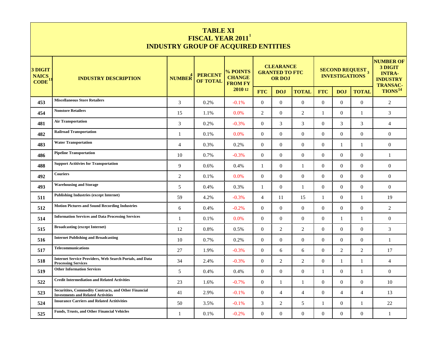|                                        | <b>TABLE XI</b><br>FISCAL YEAR 2011 <sup>1</sup><br><b>INDUSTRY GROUP OF ACQUIRED ENTITIES</b>            |                |                                                          |                                             |                  |                                                            |                  |                  |                |                                            |                                                                                    |  |
|----------------------------------------|-----------------------------------------------------------------------------------------------------------|----------------|----------------------------------------------------------|---------------------------------------------|------------------|------------------------------------------------------------|------------------|------------------|----------------|--------------------------------------------|------------------------------------------------------------------------------------|--|
| 3 DIGIT<br><b>NAICS</b><br><b>CODE</b> | <b>INDUSTRY DESCRIPTION</b>                                                                               |                | <b>PERCENT</b><br>NUMBER <sup>4</sup><br><b>OF TOTAL</b> | % POINTS<br><b>CHANGE</b><br><b>FROM FY</b> |                  | <b>CLEARANCE</b><br><b>GRANTED TO FTC</b><br><b>OR DOJ</b> |                  |                  |                | <b>SECOND REQUEST 3<br/>INVESTIGATIONS</b> | <b>NUMBER OF</b><br>3 DIGIT<br><b>INTRA-</b><br><b>INDUSTRY</b><br><b>TRANSAC-</b> |  |
|                                        |                                                                                                           |                |                                                          | 2010 12                                     | <b>FTC</b>       | <b>DOJ</b>                                                 | <b>TOTAL</b>     | <b>FTC</b>       | <b>DOJ</b>     | <b>TOTAL</b>                               | TIONS <sup>14</sup>                                                                |  |
| 453                                    | <b>Miscellaneous Store Retailers</b>                                                                      | 3              | 0.2%                                                     | $-0.1%$                                     | $\mathbf{0}$     | $\Omega$                                                   | $\overline{0}$   | $\overline{0}$   | $\Omega$       | $\overline{0}$                             | $\mathfrak{2}$                                                                     |  |
| 454                                    | <b>Nonstore Retailers</b>                                                                                 | 15             | 1.1%                                                     | 0.0%                                        | $\overline{2}$   | $\overline{0}$                                             | 2                | 1                | $\overline{0}$ | 1                                          | 3                                                                                  |  |
| 481                                    | <b>Air Transportation</b>                                                                                 | 3              | 0.2%                                                     | $-0.3%$                                     | $\mathbf{0}$     | 3                                                          | 3                | $\overline{0}$   | 3              | 3                                          | $\overline{4}$                                                                     |  |
| 482                                    | <b>Railroad Transportation</b>                                                                            | -1             | 0.1%                                                     | 0.0%                                        | $\mathbf{0}$     | $\overline{0}$                                             | $\mathbf{0}$     | $\overline{0}$   | $\overline{0}$ | $\mathbf{0}$                               | $\mathbf{0}$                                                                       |  |
| 483                                    | <b>Water Transportation</b>                                                                               | $\overline{4}$ | 0.3%                                                     | 0.2%                                        | $\mathbf{0}$     | $\Omega$                                                   | $\mathbf{0}$     | $\overline{0}$   | -1             | $\mathbf{1}$                               | $\mathbf{0}$                                                                       |  |
| 486                                    | <b>Pipeline Transportation</b>                                                                            | 10             | 0.7%                                                     | $-0.3%$                                     | $\mathbf{0}$     | $\overline{0}$                                             | $\mathbf{0}$     | $\overline{0}$   | $\Omega$       | $\overline{0}$                             | 1                                                                                  |  |
| 488                                    | <b>Support Actitivies for Transportation</b>                                                              | 9              | 0.6%                                                     | 0.4%                                        | 1                | $\overline{0}$                                             | 1                | $\overline{0}$   | $\Omega$       | $\overline{0}$                             | $\mathbf{0}$                                                                       |  |
| 492                                    | <b>Couriers</b>                                                                                           | 2              | 0.1%                                                     | 0.0%                                        | $\mathbf{0}$     | $\overline{0}$                                             | $\mathbf{0}$     | $\overline{0}$   | $\Omega$       | $\overline{0}$                             | $\mathbf{0}$                                                                       |  |
| 493                                    | <b>Warehousing and Storage</b>                                                                            | 5              | 0.4%                                                     | 0.3%                                        | 1                | $\overline{0}$                                             | 1                | $\overline{0}$   | $\Omega$       | $\overline{0}$                             | $\mathbf{0}$                                                                       |  |
| 511                                    | <b>Publishing Industries (except Internet)</b>                                                            | 59             | 4.2%                                                     | $-0.3%$                                     | $\overline{4}$   | 11                                                         | 15               | $\mathbf{1}$     | $\Omega$       | $\mathbf{1}$                               | 19                                                                                 |  |
| 512                                    | <b>Motion Pictures and Sound Recording Industries</b>                                                     | 6              | 0.4%                                                     | $-0.2%$                                     | $\mathbf{0}$     | $\mathbf{0}$                                               | $\mathbf{0}$     | $\overline{0}$   | $\Omega$       | $\mathbf{0}$                               | $\overline{2}$                                                                     |  |
| 514                                    | <b>Information Services and Data Processing Services</b>                                                  | $\mathbf{1}$   | 0.1%                                                     | 0.0%                                        | $\mathbf{0}$     | $\theta$                                                   | $\mathbf{0}$     | $\Omega$         | -1             | -1                                         | $\boldsymbol{0}$                                                                   |  |
| 515                                    | <b>Broadcasting (except Internet)</b>                                                                     | 12             | 0.8%                                                     | 0.5%                                        | $\overline{0}$   | 2                                                          | $\overline{c}$   | $\overline{0}$   | $\Omega$       | $\mathbf{0}$                               | 3                                                                                  |  |
| 516                                    | <b>Internet Publishing and Broadcasting</b>                                                               | 10             | 0.7%                                                     | 0.2%                                        | $\mathbf{0}$     | $\overline{0}$                                             | $\mathbf{0}$     | $\overline{0}$   | $\Omega$       | $\mathbf{0}$                               | $\mathbf{1}$                                                                       |  |
| 517                                    | <b>Telecommunications</b>                                                                                 | 27             | 1.9%                                                     | $-0.3%$                                     | $\mathbf{0}$     | 6                                                          | 6                | $\overline{0}$   | 2              | 2                                          | 17                                                                                 |  |
| 518                                    | <b>Internet Service Providers, Web Search Portals, and Data</b><br><b>Processing Services</b>             | 34             | 2.4%                                                     | $-0.3%$                                     | $\mathbf{0}$     | 2                                                          | 2                | $\overline{0}$   | -1             | 1                                          | $\overline{4}$                                                                     |  |
| 519                                    | <b>Other Information Services</b>                                                                         | 5              | 0.4%                                                     | 0.4%                                        | $\mathbf{0}$     | $\theta$                                                   | $\mathbf{0}$     | $\mathbf{1}$     | $\overline{0}$ | 1                                          | $\boldsymbol{0}$                                                                   |  |
| 522                                    | <b>Credit Intermediation and Related Activities</b>                                                       | 23             | 1.6%                                                     | $-0.7%$                                     | $\overline{0}$   | 1                                                          | $\mathbf{1}$     | $\overline{0}$   | $\overline{0}$ | $\overline{0}$                             | 10                                                                                 |  |
| 523                                    | <b>Securitites, Commodity Contracts, and Other Financial</b><br><b>Investments and Related Activities</b> | 41             | 2.9%                                                     | $-0.1%$                                     | $\overline{0}$   | $\overline{4}$                                             | $\overline{4}$   | $\mathbf{0}$     | $\overline{4}$ | $\overline{4}$                             | 13                                                                                 |  |
| 524                                    | <b>Insurance Carriers and Related Actitivities</b>                                                        | 50             | 3.5%                                                     | $-0.1%$                                     | 3                | 2                                                          | 5                | 1                | $\overline{0}$ | 1                                          | 22                                                                                 |  |
| 525                                    | <b>Funds, Trusts, and Other Financial Vehicles</b>                                                        | 1              | 0.1%                                                     | $-0.2%$                                     | $\boldsymbol{0}$ | $\overline{0}$                                             | $\boldsymbol{0}$ | $\boldsymbol{0}$ | $\overline{0}$ | $\overline{0}$                             | 1                                                                                  |  |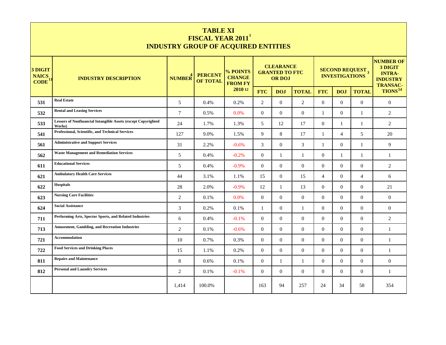|                                        | <b>TABLE XI</b><br><b>FISCAL YEAR 2011</b><br><b>INDUSTRY GROUP OF ACQUIRED ENTITIES</b> |                     |                                   |                                             |                                                            |                  |                |                  |                       |                                    |                                                                                    |  |
|----------------------------------------|------------------------------------------------------------------------------------------|---------------------|-----------------------------------|---------------------------------------------|------------------------------------------------------------|------------------|----------------|------------------|-----------------------|------------------------------------|------------------------------------------------------------------------------------|--|
| 3 DIGIT<br><b>NAICS</b><br><b>CODE</b> | <b>INDUSTRY DESCRIPTION</b>                                                              | NUMBER <sup>4</sup> | <b>PERCENT</b><br><b>OF TOTAL</b> | % POINTS<br><b>CHANGE</b><br><b>FROM FY</b> | <b>CLEARANCE</b><br><b>GRANTED TO FTC</b><br><b>OR DOJ</b> |                  |                |                  | <b>INVESTIGATIONS</b> | <b>SECOND REQUEST</b> <sub>3</sub> | <b>NUMBER OF</b><br>3 DIGIT<br><b>INTRA-</b><br><b>INDUSTRY</b><br><b>TRANSAC-</b> |  |
|                                        |                                                                                          |                     |                                   | 2010 12                                     | <b>FTC</b>                                                 | <b>DOJ</b>       | <b>TOTAL</b>   | <b>FTC</b>       | <b>DOJ</b>            | <b>TOTAL</b>                       | TIONS <sup>14</sup>                                                                |  |
| 531                                    | <b>Real Estate</b>                                                                       | 5                   | 0.4%                              | 0.2%                                        | $\overline{2}$                                             | $\overline{0}$   | $\overline{2}$ | $\mathbf{0}$     | $\overline{0}$        | $\mathbf{0}$                       | $\boldsymbol{0}$                                                                   |  |
| 532                                    | <b>Rental and Leasing Services</b>                                                       | $\tau$              | 0.5%                              | 0.0%                                        | $\overline{0}$                                             | $\mathbf{0}$     | $\mathbf{0}$   | 1                | $\overline{0}$        | 1                                  | 2                                                                                  |  |
| 533                                    | <b>Lessors of Nonfinancial Intangible Assets (except Copyrighted)</b><br>Works)          | 24                  | 1.7%                              | 1.3%                                        | 5                                                          | 12               | 17             | $\overline{0}$   | 1                     | 1                                  | $\overline{2}$                                                                     |  |
| 541                                    | Professional, Scientific, and Technical Services                                         | 127                 | 9.0%                              | 1.5%                                        | 9                                                          | 8                | 17             | $\mathbf{1}$     | $\overline{4}$        | 5                                  | 20                                                                                 |  |
| 561                                    | <b>Administrative and Support Services</b>                                               | 31                  | 2.2%                              | $-0.6%$                                     | 3                                                          | $\mathbf{0}$     | $\mathfrak{Z}$ | $\mathbf{1}$     | $\Omega$              | $\mathbf{1}$                       | $\overline{9}$                                                                     |  |
| 562                                    | <b>Waste Management and Remediation Services</b>                                         | $\overline{5}$      | 0.4%                              | $-0.2%$                                     | $\theta$                                                   | $\mathbf{1}$     | $\mathbf{1}$   | $\Omega$         | $\mathbf{1}$          | $\mathbf{1}$                       | $\mathbf{1}$                                                                       |  |
| 611                                    | <b>Educational Services</b>                                                              | 5                   | 0.4%                              | $-0.9%$                                     | $\overline{0}$                                             | $\overline{0}$   | $\overline{0}$ | $\overline{0}$   | $\overline{0}$        | $\overline{0}$                     | 2                                                                                  |  |
| 621                                    | <b>Ambulatory Health Care Services</b>                                                   | 44                  | 3.1%                              | 1.1%                                        | 15                                                         | $\Omega$         | 15             | $\overline{4}$   | $\Omega$              | $\overline{4}$                     | 6                                                                                  |  |
| 622                                    | <b>Hospitals</b>                                                                         | 28                  | 2.0%                              | $-0.9%$                                     | 12                                                         | $\mathbf{1}$     | 13             | $\overline{0}$   | $\overline{0}$        | $\overline{0}$                     | 21                                                                                 |  |
| 623                                    | <b>Nursing Care Facilities</b>                                                           | 2                   | 0.1%                              | 0.0%                                        | $\overline{0}$                                             | $\boldsymbol{0}$ | $\mathbf{0}$   | $\boldsymbol{0}$ | $\overline{0}$        | $\boldsymbol{0}$                   | $\boldsymbol{0}$                                                                   |  |
| 624                                    | <b>Social Assistance</b>                                                                 | 3                   | 0.2%                              | 0.1%                                        | $\mathbf{1}$                                               | $\overline{0}$   | 1              | $\overline{0}$   | $\Omega$              | $\Omega$                           | $\overline{0}$                                                                     |  |
| 711                                    | Performing Arts, Spector Sports, and Related Industries                                  | 6                   | 0.4%                              | $-0.1%$                                     | $\overline{0}$                                             | $\mathbf{0}$     | $\mathbf{0}$   | $\mathbf{0}$     | $\Omega$              | $\mathbf{0}$                       | $\overline{2}$                                                                     |  |
| 713                                    | <b>Amusement, Gambling, and Recreation Industries</b>                                    | 2                   | 0.1%                              | $-0.6%$                                     | $\overline{0}$                                             | $\overline{0}$   | $\overline{0}$ | $\overline{0}$   | $\Omega$              | $\Omega$                           | $\mathbf{1}$                                                                       |  |
| 721                                    | Accommodation                                                                            | 10                  | 0.7%                              | 0.3%                                        | $\mathbf{0}$                                               | $\Omega$         | $\mathbf{0}$   | $\mathbf{0}$     | $\Omega$              | $\boldsymbol{0}$                   | $\mathbf{1}$                                                                       |  |
| 722                                    | <b>Food Services and Drinking Places</b>                                                 | 15                  | 1.1%                              | 0.2%                                        | $\overline{0}$                                             | $\overline{0}$   | $\overline{0}$ | $\overline{0}$   | $\Omega$              | $\overline{0}$                     | $\mathbf{1}$                                                                       |  |
| 811                                    | <b>Repairs and Maintenance</b>                                                           | 8                   | 0.6%                              | 0.1%                                        | $\Omega$                                                   | $\mathbf{1}$     | 1              | $\Omega$         | $\Omega$              | $\Omega$                           | $\mathbf{0}$                                                                       |  |
| 812                                    | <b>Personal and Laundry Services</b>                                                     | 2                   | 0.1%                              | $-0.1%$                                     | $\overline{0}$                                             | $\overline{0}$   | $\mathbf{0}$   | $\overline{0}$   | $\overline{0}$        | $\mathbf{0}$                       | $\mathbf{1}$                                                                       |  |
|                                        |                                                                                          | 1,414               | 100.0%                            |                                             | 163                                                        | 94               | 257            | 24               | 34                    | 58                                 | 354                                                                                |  |